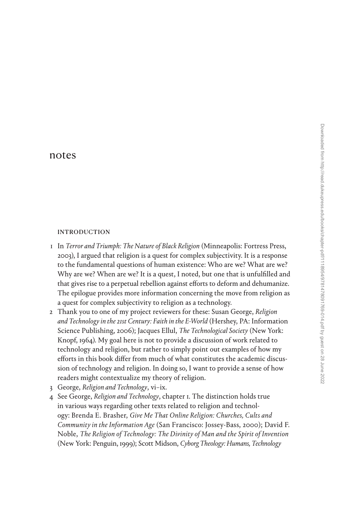# [notes](#page--1-0)

## **INTRODUCTION**

- 1 In *Terror and Triumph: The Nature of Black Religion* (Minneapolis: Fortress Press, 2003), I argued that religion is a quest for complex subjectivity. It is a response to the fundamental questions of human existence: Who are we? What are we? Why are we? When are we? It is a quest, I noted, but one that is unfulfilled and that gives rise to a perpetual rebellion against efforts to deform and dehumanize. The epilogue provides more information concerning the move from religion as a quest for complex subjectivity to religion as a technology.
- 2 Thank you to one of my project reviewers for these: Susan George, *Religion and Technology in the 21st Century: Faith in the E-World* (Hershey, PA: Information Science Publishing, 2006); Jacques Ellul, *The Technological Society* (New York: Knopf, 1964). My goal here is not to provide a discussion of work related to technology and religion, but rather to simply point out examples of how my efforts in this book differ from much of what constitutes the academic discussion of technology and religion. In doing so, I want to provide a sense of how readers might contextualize my theory of religion.
- 3 George, *Religion and Technology*, vi–ix.
- 4 See George, *Religion and Technology*, chapter 1. The distinction holds true in various ways regarding other texts related to religion and technology: Brenda E. Brasher, *Give Me That Online Religion: Churches, Cults and Community in the Information Age* (San Francisco: Jossey-Bass, 2000); David F. Noble, *The Religion of Technology: The Divinity of Man and the Spirit of Invention* (New York: Penguin, 1999); Scott Midson, *Cyborg Theology: Humans, Technology*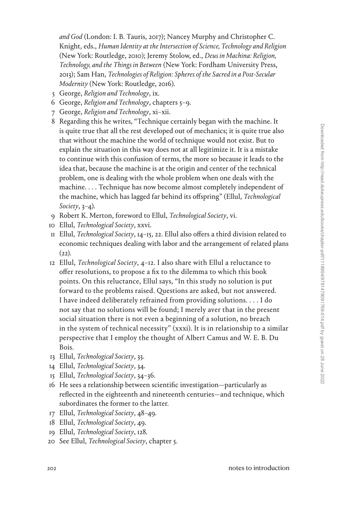*and God* (London: I. B. Tauris, 2017); Nancey Murphy and Christopher C. Knight, eds., *Human Identity at the Intersection of Science, Technology and Religion* (New York: Routledge, 2010); Jeremy Stolow, ed., *Deus in Machina: Religion, Technology, and the Things in Between* (New York: Fordham University Press, 2013); Sam Han, *Technologies of Religion: Spheres of the Sacred in a Post-Secular Modernity* (New York: Routledge, 2016).

- 5 George, *Religion and Technology*, ix.
- 6 George, *Religion and Technology*, chapters 5–9.
- 7 George, *Religion and Technology*, xi–xii.
- 8 Regarding this he writes, "Technique certainly began with the machine. It is quite true that all the rest developed out of mechanics; it is quite true also that without the machine the world of technique would not exist. But to explain the situation in this way does not at all legitimize it. It is a mistake to continue with this confusion of terms, the more so because it leads to the idea that, because the machine is at the origin and center of the technical problem, one is dealing with the whole problem when one deals with the machine. . . . Technique has now become almost completely independent of the machine, which has lagged far behind its offspring" (Ellul, *Technological Society*, 3–4).
- 9 Robert K. Merton, foreword to Ellul, *Technological Society*, vi.
- 10 Ellul, *Technological Society*, xxvi.
- 11 Ellul, *Technological Society*, 14–15, 22. Ellul also offers a third division related to economic techniques dealing with labor and the arrangement of related plans  $(22)$ .
- 12 Ellul, *Technological Society*, 4–12. I also share with Ellul a reluctance to offer resolutions, to propose a fix to the dilemma to which this book points. On this reluctance, Ellul says, "In this study no solution is put forward to the problems raised. Questions are asked, but not answered. I have indeed deliberately refrained from providing solutions. . . . I do not say that no solutions will be found; I merely aver that in the present social situation there is not even a beginning of a solution, no breach in the system of technical necessity" (xxxi). It is in relationship to a similar perspective that I employ the thought of Albert Camus and W. E. B. Du Bois.
- 13 Ellul, *Technological Society*, 33.
- 14 Ellul, *Technological Society*, 34.
- 15 Ellul, *Technological Society*, 34–36.
- 16 He sees a relationship between scientific investigation—particularly as reflected in the eighteenth and nineteenth centuries—and technique, which subordinates the former to the latter.
- 17 Ellul, *Technological Society*, 48–49.
- 18 Ellul, *Technological Society*, 49.
- 19 Ellul, *Technological Society*, 128.
- 20 See Ellul, *Technological Society*, chapter 5.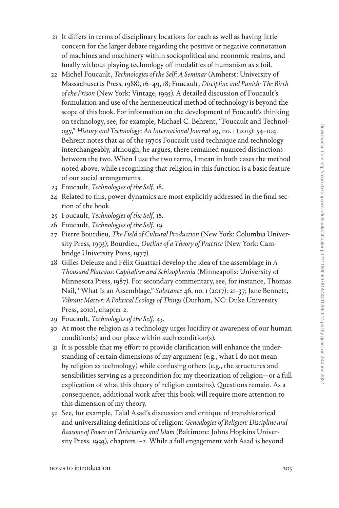- 21 It differs in terms of disciplinary locations for each as well as having little concern for the larger debate regarding the positive or negative connotation of machines and machinery within sociopolitical and economic realms, and finally without playing technology off modalities of humanism as a foil.
- 22 Michel Foucault, *Technologies of the Self: A Seminar* (Amherst: University of Massachusetts Press, 1988), 16–49, 18; Foucault, *Discipline and Punish: The Birth of the Prison* (New York: Vintage, 1995). A detailed discussion of Foucault's formulation and use of the hermeneutical method of technology is beyond the scope of this book. For information on the development of Foucault's thinking on technology, see, for example, Michael C. Behrent, "Foucault and Technology," *History and Technology: An International Journal* 29, no. 1 (2013): 54–104. Behrent notes that as of the 1970s Foucault used technique and technology interchangeably, although, he argues, there remained nuanced distinctions between the two. When I use the two terms, I mean in both cases the method noted above, while recognizing that religion in this function is a basic feature of our social arrangements.
- 23 Foucault, *Technologies of the Self*, 18.
- 24 Related to this, power dynamics are most explicitly addressed in the final section of the book.
- 25 Foucault, *Technologies of the Self*, 18.
- 26 Foucault, *Technologies of the Self*, 19.
- 27 Pierre Bourdieu, *The Field of Cultural Production* (New York: Columbia University Press, 1993); Bourdieu, *Outline of a Theory of Practice* (New York: Cambridge University Press, 1977).
- 28 Gilles Deleuze and Félix Guattari develop the idea of the assemblage in *A Thousand Plateaus: Capitalism and Schizophrenia* (Minneapolis: University of Minnesota Press, 1987). For secondary commentary, see, for instance, Thomas Nail, "What Is an Assemblage," *Substance* 46, no. 1 (2017): 21–37; Jane Bennett, *Vibrant Matter: A Political Ecology of Things* (Durham, NC: Duke University Press, 2010), chapter 2.
- 29 Foucault, *Technologies of the Self*, 45.
- 30 At most the religion as a technology urges lucidity or awareness of our human condition(s) and our place within such condition(s).
- 31 It is possible that my effort to provide clarification will enhance the understanding of certain dimensions of my argument (e.g., what I do not mean by religion as technology) while confusing others (e.g., the structures and sensibilities serving as a precondition for my theorization of religion—or a full explication of what this theory of religion contains). Questions remain. As a consequence, additional work after this book will require more attention to this dimension of my theory.
- 32 See, for example, Talal Asad's discussion and critique of transhistorical and universalizing definitions of religion: *Genealogies of Religion: Discipline and Reasons of Power in Christianity and Islam* (Baltimore: Johns Hopkins University Press, 1993), chapters 1–2. While a full engagement with Asad is beyond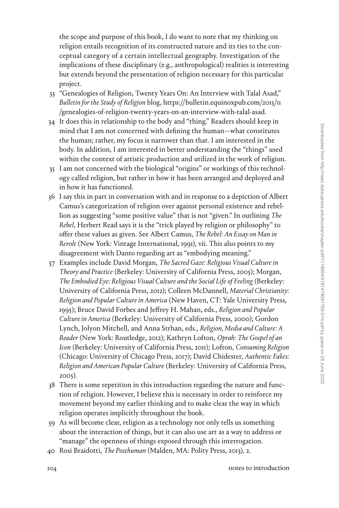the scope and purpose of this book, I do want to note that my thinking on religion entails recognition of its constructed nature and its ties to the conceptual category of a certain intellectual geography. Investigation of the implications of these disciplinary (e.g., anthropological) realities is interesting but extends beyond the presentation of religion necessary for this particular project.

- 33 "Genealogies of Religion, Twenty Years On: An Interview with Talal Asad," *Bulletin for the Study of Religion* blog, [https://bulletin.equinoxpub.com/2015/11](https://bulletin.equinoxpub.com/2015/11/genealogies-of-religion-twenty-years-on-an-interview-with-talal-asad) [/genealogies-of-religion-twenty-years-on-an-interview-with-talal-asad](https://bulletin.equinoxpub.com/2015/11/genealogies-of-religion-twenty-years-on-an-interview-with-talal-asad).
- 34 It does this in relationship to the body and "thing." Readers should keep in mind that I am not concerned with defining the human—what constitutes the human; rather, my focus is narrower than that. I am interested in the body. In addition, I am interested in better understanding the "things" used within the context of artistic production and utilized in the work of religion.
- 35 I am not concerned with the biological "origins" or workings of this technology called religion, but rather in how it has been arranged and deployed and in how it has functioned.
- 36 I say this in part in conversation with and in response to a depiction of Albert Camus's categorization of religion over against personal existence and rebellion as suggesting "some positive value" that is not "given." In outlining *The Rebel*, Herbert Read says it is the "trick played by religion or philosophy" to offer these values as given. See Albert Camus, *The Rebel: An Essay on Man in Revolt* (New York: Vintage International, 1991), vii. This also points to my disagreement with Danto regarding art as "embodying meaning."
- 37 Examples include David Morgan, *The Sacred Gaze: Religious Visual Culture in Theory and Practice* (Berkeley: University of California Press, 2005); Morgan, *The Embodied Eye: Religious Visual Culture and the Social Life of Feeling* (Berkeley: University of California Press, 2012); Colleen McDannell, *Material Christianity: Religion and Popular Culture in America* (New Haven, CT: Yale University Press, 1995); Bruce David Forbes and Jeffrey H. Mahan, eds., *Religion and Popular Culture in America* (Berkeley: University of California Press, 2000); Gordon Lynch, Jolyon Mitchell, and Anna Strhan, eds., *Religion, Media and Culture: A Reader* (New York: Routledge, 2012); Kathryn Lofton, *Oprah: The Gospel of an Icon* (Berkeley: University of California Press, 2011); Lofton, *Consuming Religion* (Chicago: University of Chicago Press, 2017); David Chidester, *Authentic Fakes: Religion and American Popular Culture* (Berkeley: University of California Press, 2005).
- 38 There is some repetition in this introduction regarding the nature and function of religion. However, I believe this is necessary in order to reinforce my movement beyond my earlier thinking and to make clear the way in which religion operates implicitly throughout the book.
- 39 As will become clear, religion as a technology not only tells us something about the interaction of things, but it can also use art as a way to address or "manage" the openness of things exposed through this interrogation.
- 40 Rosi Braidotti, *The Posthuman* (Malden, MA: Polity Press, 2013), 2.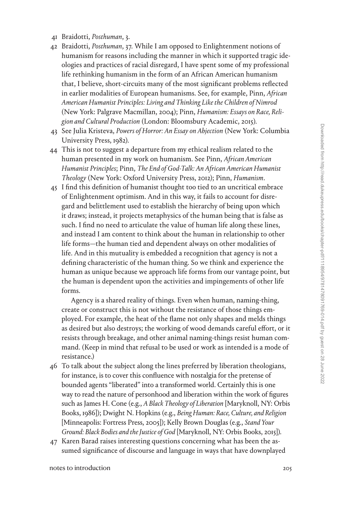- 41 Braidotti, *Posthuman*, 3.
- 42 Braidotti, *Posthuman*, 37. While I am opposed to Enlightenment notions of humanism for reasons including the manner in which it supported tragic ideologies and practices of racial disregard, I have spent some of my professional life rethinking humanism in the form of an African American humanism that, I believe, short-circuits many of the most significant problems reflected in earlier modalities of European humanisms. See, for example, Pinn, *African American Humanist Principles: Living and Thinking Like the Children of Nimrod* (New York: Palgrave Macmillan, 2004); Pinn, *Humanism: Essays on Race, Religion and Cultural Production* (London: Bloomsbury Academic, 2015).
- 43 See Julia Kristeva, *Powers of Horror: An Essay on Abjection* (New York: Columbia University Press, 1982).
- 44 This is not to suggest a departure from my ethical realism related to the human presented in my work on humanism. See Pinn, *African American Humanist Principles*; Pinn, *The End of God-Talk: An African American Humanist Theology* (New York: Oxford University Press, 2012); Pinn, *Humanism*.
- 45 I find this definition of humanist thought too tied to an uncritical embrace of Enlightenment optimism. And in this way, it fails to account for disregard and belittlement used to establish the hierarchy of being upon which it draws; instead, it projects metaphysics of the human being that is false as such. I find no need to articulate the value of human life along these lines, and instead I am content to think about the human in relationship to other life forms—the human tied and dependent always on other modalities of life. And in this mutuality is embedded a recognition that agency is not a defining characteristic of the human thing. So we think and experience the human as unique because we approach life forms from our vantage point, but the human is dependent upon the activities and impingements of other life forms.

Agency is a shared reality of things. Even when human, naming-thing, create or construct this is not without the resistance of those things employed. For example, the heat of the flame not only shapes and melds things as desired but also destroys; the working of wood demands careful effort, or it resists through breakage, and other animal naming-things resist human command. (Keep in mind that refusal to be used or work as intended is a mode of resistance.)

- 46 To talk about the subject along the lines preferred by liberation theologians, for instance, is to cover this confluence with nostalgia for the pretense of bounded agents "liberated" into a transformed world. Certainly this is one way to read the nature of personhood and liberation within the work of figures such as James H. Cone (e.g., *A Black Theology of Liberation* [Maryknoll, NY: Orbis Books, 1986]); Dwight N. Hopkins (e.g., *Being Human: Race, Culture, and Religion* [Minneapolis: Fortress Press, 2005]); Kelly Brown Douglas (e.g., *Stand Your Ground: Black Bodies and the Justice of God* [Maryknoll, NY: Orbis Books, 2015]).
- 47 Karen Barad raises interesting questions concerning what has been the assumed significance of discourse and language in ways that have downplayed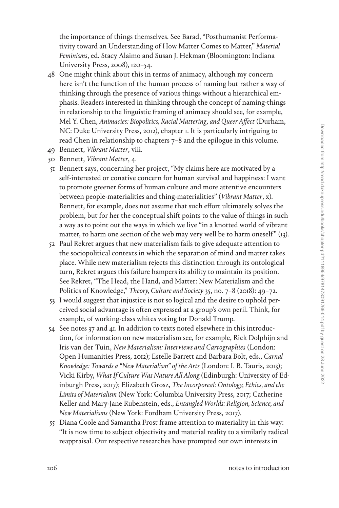the importance of things themselves. See Barad, "Posthumanist Performativity toward an Understanding of How Matter Comes to Matter," *Material Feminisms*, ed. Stacy Alaimo and Susan J. Hekman (Bloomington: Indiana University Press, 2008), 120–54.

- 48 One might think about this in terms of animacy, although my concern here isn't the function of the human process of naming but rather a way of thinking through the presence of various things without a hierarchical emphasis. Readers interested in thinking through the concept of naming-things in relationship to the linguistic framing of animacy should see, for example, Mel Y. Chen, *Animacies: Biopolitics, Racial Mattering, and Queer Affect* (Durham, NC: Duke University Press, 2012), chapter 1. It is particularly intriguing to read Chen in relationship to chapters 7–8 and the epilogue in this volume.
- 49 Bennett, *Vibrant Matter*, viii.
- 50 Bennett, *Vibrant Matter*, 4.
- 51 Bennett says, concerning her project, "My claims here are motivated by a self-interested or conative concern for human survival and happiness: I want to promote greener forms of human culture and more attentive encounters between people-materialities and thing-materialities" (*Vibrant Matter*, x). Bennett, for example, does not assume that such effort ultimately solves the problem, but for her the conceptual shift points to the value of things in such a way as to point out the ways in which we live "in a knotted world of vibrant matter, to harm one section of the web may very well be to harm oneself" (13).
- 52 Paul Rekret argues that new materialism fails to give adequate attention to the sociopolitical contexts in which the separation of mind and matter takes place. While new materialism rejects this distinction through its ontological turn, Rekret argues this failure hampers its ability to maintain its position. See Rekret, "The Head, the Hand, and Matter: New Materialism and the Politics of Knowledge," *Theory, Culture and Society* 35, no. 7–8 (2018): 49–72.
- 53 I would suggest that injustice is not so logical and the desire to uphold perceived social advantage is often expressed at a group's own peril. Think, for example, of working-class whites voting for Donald Trump.
- 54 See notes 37 and 41. In addition to texts noted elsewhere in this introduction, for information on new materialism see, for example, Rick Dolphijn and Iris van der Tuin, *New Materialism: Interviews and Cartographies* (London: Open Humanities Press, 2012); Estelle Barrett and Barbara Bolt, eds., *Carnal Knowledge: Towards a "New Materialism" of the Arts* (London: I. B. Tauris, 2013); Vicki Kirby, *What If Culture Was Nature All Along* (Edinburgh: University of Edinburgh Press, 2017); Elizabeth Grosz, *The Incorporeal: Ontology, Ethics, and the Limits of Materialism* (New York: Columbia University Press, 2017; Catherine Keller and Mary-Jane Rubenstein, eds., *Entangled Worlds: Religion, Science, and New Materialisms* (New York: Fordham University Press, 2017).
- 55 Diana Coole and Samantha Frost frame attention to materiality in this way: "It is now time to subject objectivity and material reality to a similarly radical reappraisal. Our respective researches have prompted our own interests in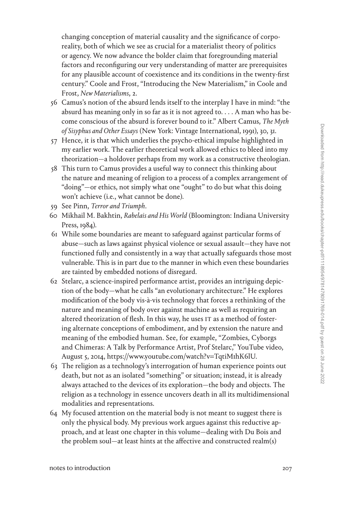changing conception of material causality and the significance of corporeality, both of which we see as crucial for a materialist theory of politics or agency. We now advance the bolder claim that foregrounding material factors and reconfiguring our very understanding of matter are prerequisites for any plausible account of coexistence and its conditions in the twenty-first century." Coole and Frost, "Introducing the New Materialism," in Coole and Frost, *New Materialisms*, 2.

- 56 Camus's notion of the absurd lends itself to the interplay I have in mind: "the absurd has meaning only in so far as it is not agreed to. . . . A man who has become conscious of the absurd is forever bound to it." Albert Camus, *The Myth of Sisyphus and Other Essays* (New York: Vintage International, 1991), 30, 31.
- 57 Hence, it is that which underlies the psycho-ethical impulse highlighted in my earlier work. The earlier theoretical work allowed ethics to bleed into my theorization—a holdover perhaps from my work as a constructive theologian.
- 58 This turn to Camus provides a useful way to connect this thinking about the nature and meaning of religion to a process of a complex arrangement of "doing"—or ethics, not simply what one "ought" to do but what this doing won't achieve (i.e., what cannot be done).
- 59 See Pinn, *Terror and Triumph*.
- 60 Mikhail M. Bakhtin, *Rabelais and His World* (Bloomington: Indiana University Press, 1984).
- 61 While some boundaries are meant to safeguard against particular forms of abuse—such as laws against physical violence or sexual assault—they have not functioned fully and consistently in a way that actually safeguards those most vulnerable. This is in part due to the manner in which even these boundaries are tainted by embedded notions of disregard.
- 62 Stelarc, a science-inspired performance artist, provides an intriguing depiction of the body—what he calls "an evolutionary architecture." He explores modification of the body vis-à-vis technology that forces a rethinking of the nature and meaning of body over against machine as well as requiring an altered theorization of flesh. In this way, he uses IT as a method of fostering alternate conceptions of embodiment, and by extension the nature and meaning of the embodied human. See, for example, "Zombies, Cyborgs and Chimeras: A Talk by Performance Artist, Prof Stelarc," YouTube video, August 5, 2014, [https://www.youtube.com/watch?v](https://www.youtube.com/watch?v=TqtiM1hK6lU)=TqtiM1hK6lU.
- 63 The religion as a technology's interrogation of human experience points out death, but not as an isolated "something" or situation; instead, it is already always attached to the devices of its exploration—the body and objects. The religion as a technology in essence uncovers death in all its multidimensional modalities and representations.
- 64 My focused attention on the material body is not meant to suggest there is only the physical body. My previous work argues against this reductive approach, and at least one chapter in this volume—dealing with Du Bois and the problem soul—at least hints at the affective and constructed realm(s)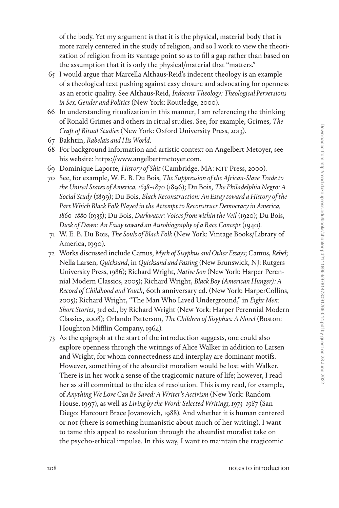of the body. Yet my argument is that it is the physical, material body that is more rarely centered in the study of religion, and so I work to view the theorization of religion from its vantage point so as to fill a gap rather than based on the assumption that it is only the physical/material that "matters."

- 65 I would argue that Marcella Althaus-Reid's indecent theology is an example of a theological text pushing against easy closure and advocating for openness as an erotic quality. See Althaus-Reid, *Indecent Theology: Theological Perversions in Sex, Gender and Politics* (New York: Routledge, 2000).
- 66 In understanding ritualization in this manner, I am referencing the thinking of Ronald Grimes and others in ritual studies. See, for example, Grimes, *The Craft of Ritual Studies* (New York: Oxford University Press, 2013).
- 67 Bakhtin, *Rabelais and His World*.
- 68 For background information and artistic context on Angelbert Metoyer, see his website: [https://www.angelbertmetoyer.com.](https://www.angelbertmetoyer.com)
- 69 Dominique Laporte, *History of Shit* (Cambridge, MA: MIT Press, 2000).
- 70 See, for example, W. E. B. Du Bois, *The Suppression of the African-Slave Trade to the United States of America, 1638–1870* (1896); Du Bois, *The Philadelphia Negro: A Social Study* (1899); Du Bois, *Black Reconstruction: An Essay toward a History of the*  Part Which Black Folk Played in the Attempt to Reconstruct Democracy in America, *1860–1880* (1935); Du Bois, *Darkwater: Voices from within the Veil* (1920); Du Bois, *Dusk of Dawn: An Essay toward an Autobiography of a Race Concept* (1940).
- 71 W. E. B. Du Bois, *The Souls of Black Folk* (New York: Vintage Books/Library of America, 1990).
- 72 Works discussed include Camus, *Myth of Sisyphus and Other Essays*; Camus, *Rebel*; Nella Larsen, *Quicksand*, in *Quicksand and Passing* (New Brunswick, NJ: Rutgers University Press, 1986); Richard Wright, *Native Son* (New York: Harper Perennial Modern Classics, 2005); Richard Wright, *Black Boy (American Hunger): A Record of Childhood and Youth*, 60th anniversary ed. (New York: HarperCollins, 2005); Richard Wright, "The Man Who Lived Underground," in *Eight Men: Short Stories*, 3rd ed., by Richard Wright (New York: Harper Perennial Modern Classics, 2008); Orlando Patterson, *The Children of Sisyphus: A Novel* (Boston: Houghton Mifflin Company, 1964).
- 73 As the epigraph at the start of the introduction suggests, one could also explore openness through the writings of Alice Walker in addition to Larsen and Wright, for whom connectedness and interplay are dominant motifs. However, something of the absurdist moralism would be lost with Walker. There is in her work a sense of the tragicomic nature of life; however, I read her as still committed to the idea of resolution. This is my read, for example, of *Anything We Love Can Be Saved: A Writer's Activism* (New York: Random House, 1997), as well as *Living by the Word: Selected Writings, 1973–1987* (San Diego: Harcourt Brace Jovanovich, 1988). And whether it is human centered or not (there is something humanistic about much of her writing), I want to tame this appeal to resolution through the absurdist moralist take on the psycho-ethical impulse. In this way, I want to maintain the tragicomic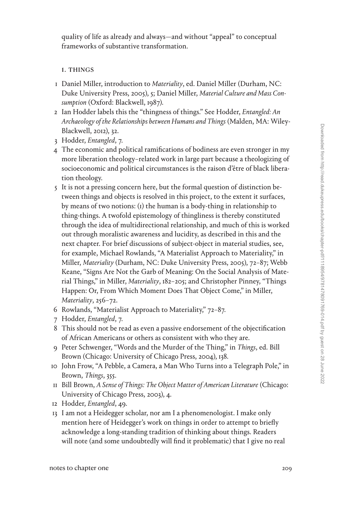quality of life as already and always—and without "appeal" to conceptual frameworks of substantive transformation.

## 1. THINGS

- 1 Daniel Miller, introduction to *Materiality*, ed. Daniel Miller (Durham, NC: Duke University Press, 2005), 5; Daniel Miller, *Material Culture and Mass Consumption* (Oxford: Blackwell, 1987).
- 2 Ian Hodder labels this the "thingness of things." See Hodder, *Entangled: An Archaeology of the Relationships between Humans and Things* (Malden, MA: Wiley-Blackwell, 2012), 32.
- 3 Hodder, *Entangled*, 7.
- 4 The economic and political ramifications of bodiness are even stronger in my more liberation theology–related work in large part because a theologizing of socioeconomic and political circumstances is the raison d'être of black liberation theology.
- 5 It is not a pressing concern here, but the formal question of distinction between things and objects is resolved in this project, to the extent it surfaces, by means of two notions: (1) the human is a body-thing in relationship to thing-things. A twofold epistemology of thingliness is thereby constituted through the idea of multidirectional relationship, and much of this is worked out through moralistic awareness and lucidity, as described in this and the next chapter. For brief discussions of subject-object in material studies, see, for example, Michael Rowlands, "A Materialist Approach to Materiality," in Miller, *Materiality* (Durham, NC: Duke University Press, 2005), 72–87; Webb Keane, "Signs Are Not the Garb of Meaning: On the Social Analysis of Material Things," in Miller, *Materiality*, 182–205; and Christopher Pinney, "Things Happen: Or, From Which Moment Does That Object Come," in Miller, *Materiality*, 256–72.
- 6 Rowlands, "Materialist Approach to Materiality," 72–87.
- 7 Hodder, *Entangled*, 7.
- 8 This should not be read as even a passive endorsement of the objectification of African Americans or others as consistent with who they are.
- 9 Peter Schwenger, "Words and the Murder of the Thing," in *Things*, ed. Bill Brown (Chicago: University of Chicago Press, 2004), 138.
- 10 John Frow, "A Pebble, a Camera, a Man Who Turns into a Telegraph Pole," in Brown, *Things*, 355.
- 11 Bill Brown, *A Sense of Things: The Object Matter of American Literature* (Chicago: University of Chicago Press, 2003), 4.
- 12 Hodder, *Entangled*, 49.
- 13 I am not a Heidegger scholar, nor am I a phenomenologist. I make only mention here of Heidegger's work on things in order to attempt to briefly acknowledge a long-standing tradition of thinking about things. Readers will note (and some undoubtedly will find it problematic) that I give no real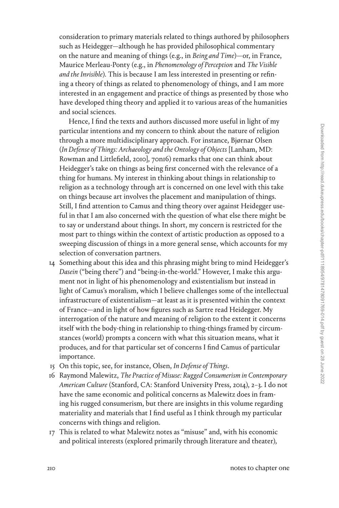consideration to primary materials related to things authored by philosophers such as Heidegger—although he has provided philosophical commentary on the nature and meaning of things (e.g., in *Being and Time*)—or, in France, Maurice Merleau-Ponty (e.g., in *Phenomenology of Perception* and *The Visible and the Invisible*). This is because I am less interested in presenting or refining a theory of things as related to phenomenology of things, and I am more interested in an engagement and practice of things as presented by those who have developed thing theory and applied it to various areas of the humanities and social sciences.

Hence, I find the texts and authors discussed more useful in light of my particular intentions and my concern to think about the nature of religion through a more multidisciplinary approach. For instance, Bjørnar Olsen (*In Defense of Things: Archaeology and the Ontology of Objects* [Lanham, MD: Rowman and Littlefield, 2010], 70n16) remarks that one can think about Heidegger's take on things as being first concerned with the relevance of a thing for humans. My interest in thinking about things in relationship to religion as a technology through art is concerned on one level with this take on things because art involves the placement and manipulation of things. Still, I find attention to Camus and thing theory over against Heidegger useful in that I am also concerned with the question of what else there might be to say or understand about things. In short, my concern is restricted for the most part to things within the context of artistic production as opposed to a sweeping discussion of things in a more general sense, which accounts for my selection of conversation partners.

- 14 Something about this idea and this phrasing might bring to mind Heidegger's *Dasein* ("being there") and "being-in-the-world." However, I make this argument not in light of his phenomenology and existentialism but instead in light of Camus's moralism, which I believe challenges some of the intellectual infrastructure of existentialism—at least as it is presented within the context of France—and in light of how figures such as Sartre read Heidegger. My interrogation of the nature and meaning of religion to the extent it concerns itself with the body-thing in relationship to thing-things framed by circumstances (world) prompts a concern with what this situation means, what it produces, and for that particular set of concerns I find Camus of particular importance.
- 15 On this topic, see, for instance, Olsen, *In Defense of Things*.
- 16 Raymond Malewitz, *The Practice of Misuse: Rugged Consumerism in Contemporary American Culture* (Stanford, CA: Stanford University Press, 2014), 2–3. I do not have the same economic and political concerns as Malewitz does in framing his rugged consumerism, but there are insights in this volume regarding materiality and materials that I find useful as I think through my particular concerns with things and religion.
- 17 This is related to what Malewitz notes as "misuse" and, with his economic and political interests (explored primarily through literature and theater),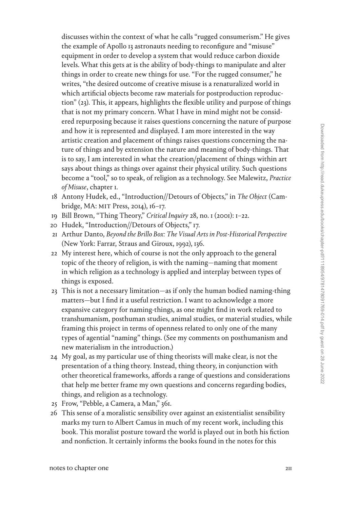discusses within the context of what he calls "rugged consumerism." He gives the example of Apollo 13 astronauts needing to reconfigure and "misuse" equipment in order to develop a system that would reduce carbon dioxide levels. What this gets at is the ability of body-things to manipulate and alter things in order to create new things for use. "For the rugged consumer," he writes, "the desired outcome of creative misuse is a renaturalized world in which artificial objects become raw materials for postproduction reproduction" (23). This, it appears, highlights the flexible utility and purpose of things that is not my primary concern. What I have in mind might not be considered repurposing because it raises questions concerning the nature of purpose and how it is represented and displayed. I am more interested in the way artistic creation and placement of things raises questions concerning the nature of things and by extension the nature and meaning of body-things. That is to say, I am interested in what the creation/placement of things within art says about things as things over against their physical utility. Such questions become a "tool," so to speak, of religion as a technology. See Malewitz, *Practice of Misuse*, chapter 1.

- 18 Antony Hudek, ed., "Introduction//Detours of Objects," in *The Object* (Cambridge, MA: MIT Press, 2014), 16–17.
- 19 Bill Brown, "Thing Theory," *Critical Inquiry* 28, no. 1 (2001): 1–22.
- 20 Hudek, "Introduction//Detours of Objects," 17.
- 21 Arthur Danto, *Beyond the Brillo Box: The Visual Arts in Post-Historical Perspective* (New York: Farrar, Straus and Giroux, 1992), 136.
- 22 My interest here, which of course is not the only approach to the general topic of the theory of religion, is with the naming—naming that moment in which religion as a technology is applied and interplay between types of things is exposed.
- 23 This is not a necessary limitation—as if only the human bodied naming-thing matters—but I find it a useful restriction. I want to acknowledge a more expansive category for naming-things, as one might find in work related to transhumanism, posthuman studies, animal studies, or material studies, while framing this project in terms of openness related to only one of the many types of agential "naming" things. (See my comments on posthumanism and new materialism in the introduction.)
- 24 My goal, as my particular use of thing theorists will make clear, is not the presentation of a thing theory. Instead, thing theory, in conjunction with other theoretical frameworks, affords a range of questions and considerations that help me better frame my own questions and concerns regarding bodies, things, and religion as a technology.
- 25 Frow, "Pebble, a Camera, a Man," 361.
- 26 This sense of a moralistic sensibility over against an existentialist sensibility marks my turn to Albert Camus in much of my recent work, including this book. This moralist posture toward the world is played out in both his fiction and nonfiction. It certainly informs the books found in the notes for this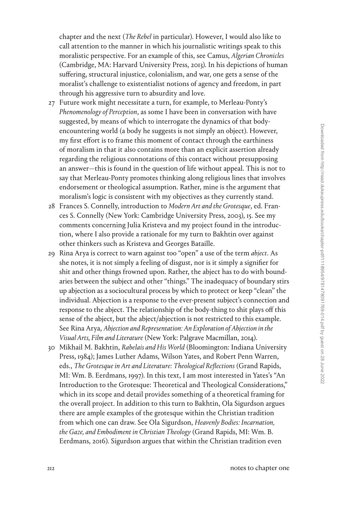chapter and the next (*The Rebel* in particular). However, I would also like to call attention to the manner in which his journalistic writings speak to this moralistic perspective. For an example of this, see Camus, *Algerian Chronicles* (Cambridge, MA: Harvard University Press, 2013). In his depictions of human suffering, structural injustice, colonialism, and war, one gets a sense of the moralist's challenge to existentialist notions of agency and freedom, in part through his aggressive turn to absurdity and love.

- 27 Future work might necessitate a turn, for example, to Merleau-Ponty's *Phenomenology of Perception*, as some I have been in conversation with have suggested, by means of which to interrogate the dynamics of that bodyencountering world (a body he suggests is not simply an object). However, my first effort is to frame this moment of contact through the earthiness of moralism in that it also contains more than an explicit assertion already regarding the religious connotations of this contact without presupposing an answer—this is found in the question of life without appeal. This is not to say that Merleau-Ponty promotes thinking along religious lines that involves endorsement or theological assumption. Rather, mine is the argument that moralism's logic is consistent with my objectives as they currently stand.
- 28 Frances S. Connelly, introduction to *Modern Art and the Grotesque*, ed. Frances S. Connelly (New York: Cambridge University Press, 2003), 15. See my comments concerning Julia Kristeva and my project found in the introduction, where I also provide a rationale for my turn to Bakhtin over against other thinkers such as Kristeva and Georges Bataille.
- 29 Rina Arya is correct to warn against too "open" a use of the term *abject*. As she notes, it is not simply a feeling of disgust, nor is it simply a signifier for shit and other things frowned upon. Rather, the abject has to do with boundaries between the subject and other "things." The inadequacy of boundary stirs up abjection as a sociocultural process by which to protect or keep "clean" the individual. Abjection is a response to the ever-present subject's connection and response to the abject. The relationship of the body-thing to shit plays off this sense of the abject, but the abject/abjection is not restricted to this example. See Rina Arya, *Abjection and Representation: An Exploration of Abjection in the Visual Arts, Film and Literature* (New York: Palgrave Macmillan, 2014).
- 30 Mikhail M. Bakhtin, *Rabelais and His World* (Bloomington: Indiana University Press, 1984); James Luther Adams, Wilson Yates, and Robert Penn Warren, eds., *The Grotesque in Art and Literature: Theological Reflections* (Grand Rapids, MI: Wm. B. Eerdmans, 1997). In this text, I am most interested in Yates's "An Introduction to the Grotesque: Theoretical and Theological Considerations," which in its scope and detail provides something of a theoretical framing for the overall project. In addition to this turn to Bakhtin, Ola Sigurdson argues there are ample examples of the grotesque within the Christian tradition from which one can draw. See Ola Sigurdson, *Heavenly Bodies: Incarnation, the Gaze, and Embodiment in Christian Theology* (Grand Rapids, MI: Wm. B. Eerdmans, 2016). Sigurdson argues that within the Christian tradition even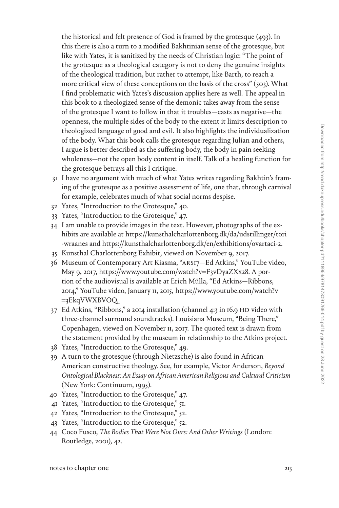the historical and felt presence of God is framed by the grotesque (493). In this there is also a turn to a modified Bakhtinian sense of the grotesque, but like with Yates, it is sanitized by the needs of Christian logic: "The point of the grotesque as a theological category is not to deny the genuine insights of the theological tradition, but rather to attempt, like Barth, to reach a more critical view of these conceptions on the basis of the cross"  $(503)$ . What I find problematic with Yates's discussion applies here as well. The appeal in this book to a theologized sense of the demonic takes away from the sense of the grotesque I want to follow in that it troubles—casts as negative—the openness, the multiple sides of the body to the extent it limits description to theologized language of good and evil. It also highlights the individualization of the body. What this book calls the grotesque regarding Julian and others, I argue is better described as the suffering body, the body in pain seeking wholeness—not the open body content in itself. Talk of a healing function for the grotesque betrays all this I critique.

- 31 I have no argument with much of what Yates writes regarding Bakhtin's framing of the grotesque as a positive assessment of life, one that, through carnival for example, celebrates much of what social norms despise.
- 32 Yates, "Introduction to the Grotesque," 40.
- 33 Yates, "Introduction to the Grotesque," 47.
- 34 I am unable to provide images in the text. However, photographs of the exhibits are available at [https://kunsthalcharlottenborg.dk/da/udstillinger/tori](https://kunsthalcharlottenborg.dk/da/udstillinger/tori-wraanes) [-wraanes](https://kunsthalcharlottenborg.dk/da/udstillinger/tori-wraanes) and<https://kunsthalcharlottenborg.dk/en/exhibitions/ovartaci-2>.
- 35 Kunsthal Charlottenborg Exhibit, viewed on November 9, 2017.
- 36 Museum of Contemporary Art Kiasma, "ARS17—Ed Atkins," YouTube video, May 9, 2017, [https://www.youtube.com/watch?v](https://www.youtube.com/watch?v=F3vDyaZXx28)=F3vDyaZXx28. A portion of the audiovisual is available at Erich Mülla, "Ed Atkins—Ribbons, 2014," YouTube video, January 11, 2015, [https://www.youtube.com/watch?v](https://www.youtube.com/watch?v=3EkqVWXBVOQ) =[3EkqVWXBVOQ](https://www.youtube.com/watch?v=3EkqVWXBVOQ).
- 37 Ed Atkins, "Ribbons," a 2014 installation (channel 4:3 in 16.9 HD video with three-channel surround soundtracks). Louisiana Museum, "Being There," Copenhagen, viewed on November 11, 2017. The quoted text is drawn from the statement provided by the museum in relationship to the Atkins project.
- 38 Yates, "Introduction to the Grotesque," 49.
- 39 A turn to the grotesque (through Nietzsche) is also found in African American constructive theology. See, for example, Victor Anderson, *Beyond Ontological Blackness: An Essay on African American Religious and Cultural Criticism* (New York: Continuum, 1995).
- 40 Yates, "Introduction to the Grotesque," 47.
- 41 Yates, "Introduction to the Grotesque," 51.
- 42 Yates, "Introduction to the Grotesque," 52.
- 43 Yates, "Introduction to the Grotesque," 52.
- 44 Coco Fusco, *The Bodies That Were Not Ours: And Other Writings* (London: Routledge, 2001), 42.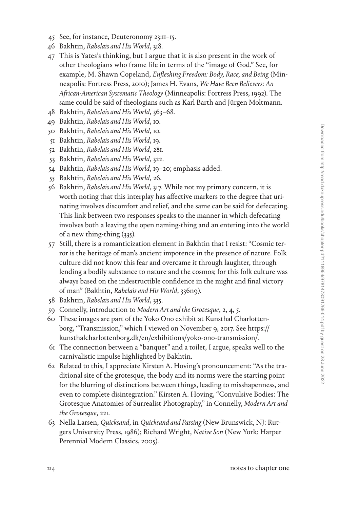- 45 See, for instance, Deuteronomy 23:11–15.
- 46 Bakhtin, *Rabelais and His World*, 318.
- 47 This is Yates's thinking, but I argue that it is also present in the work of other theologians who frame life in terms of the "image of God." See, for example, M. Shawn Copeland, *Enfleshing Freedom: Body, Race, and Being* (Minneapolis: Fortress Press, 2010); James H. Evans, *We Have Been Believers: An African-American Systematic Theology* (Minneapolis: Fortress Press, 1992). The same could be said of theologians such as Karl Barth and Jürgen Moltmann.
- 48 Bakhtin, *Rabelais and His World*, 363–68.
- 49 Bakhtin, *Rabelais and His World*, 10.
- 50 Bakhtin, *Rabelais and His World*, 10.
- 51 Bakhtin, *Rabelais and His World*, 19.
- 52 Bakhtin, *Rabelais and His World*, 281.
- 53 Bakhtin, *Rabelais and His World*, 322.
- 54 Bakhtin, *Rabelais and His World*, 19–20; emphasis added.
- 55 Bakhtin, *Rabelais and His World*, 26.
- 56 Bakhtin, *Rabelais and His World*, 317. While not my primary concern, it is worth noting that this interplay has affective markers to the degree that urinating involves discomfort and relief, and the same can be said for defecating. This link between two responses speaks to the manner in which defecating involves both a leaving the open naming-thing and an entering into the world of a new thing-thing (335).
- 57 Still, there is a romanticization element in Bakhtin that I resist: "Cosmic terror is the heritage of man's ancient impotence in the presence of nature. Folk culture did not know this fear and overcame it through laughter, through lending a bodily substance to nature and the cosmos; for this folk culture was always based on the indestructible confidence in the might and final victory of man" (Bakhtin, *Rabelais and His World*, 336n9).
- 58 Bakhtin, *Rabelais and His World*, 335.
- 59 Connelly, introduction to *Modern Art and the Grotesque*, 2, 4, 5.
- 60 These images are part of the Yoko Ono exhibit at Kunsthal Charlottenborg, "Transmission," which I viewed on November 9, 2017. See [https://](https://kunsthalcharlottenborg.dk/en/exhibitions/yoko-ono-transmission/) [kunsthalcharlottenborg.dk/en/exhibitions/yoko-ono-transmission/.](https://kunsthalcharlottenborg.dk/en/exhibitions/yoko-ono-transmission/)
- 61 The connection between a "banquet" and a toilet, I argue, speaks well to the carnivalistic impulse highlighted by Bakhtin.
- 62 Related to this, I appreciate Kirsten A. Hoving's pronouncement: "As the traditional site of the grotesque, the body and its norms were the starting point for the blurring of distinctions between things, leading to misshapenness, and even to complete disintegration." Kirsten A. Hoving, "Convulsive Bodies: The Grotesque Anatomies of Surrealist Photography," in Connelly, *Modern Art and the Grotesque*, 221.
- 63 Nella Larsen, *Quicksand*, in *Quicksand and Passing* (New Brunswick, NJ: Rutgers University Press, 1986); Richard Wright, *Native Son* (New York: Harper Perennial Modern Classics, 2005).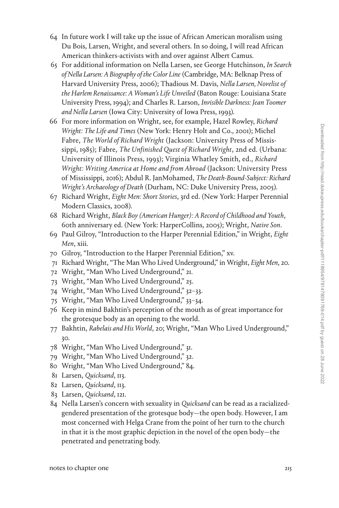- 64 In future work I will take up the issue of African American moralism using Du Bois, Larsen, Wright, and several others. In so doing, I will read African American thinkers-activists with and over against Albert Camus.
- 65 For additional information on Nella Larsen, see George Hutchinson, *In Search of Nella Larsen: A Biography of the Color Line* (Cambridge, MA: Belknap Press of Harvard University Press, 2006); Thadious M. Davis, *Nella Larsen, Novelist of the Harlem Renaissance: A Woman's Life Unveiled* (Baton Rouge: Louisiana State University Press, 1994); and Charles R. Larson, *Invisible Darkness: Jean Toomer and Nella Larsen* (Iowa City: University of Iowa Press, 1993).
- 66 For more information on Wright, see, for example, Hazel Rowley, *Richard Wright: The Life and Times* (New York: Henry Holt and Co., 2001); Michel Fabre, *The World of Richard Wright* (Jackson: University Press of Mississippi, 1985); Fabre, *The Unfinished Quest of Richard Wright*, 2nd ed. (Urbana: University of Illinois Press, 1993); Virginia Whatley Smith, ed., *Richard Wright: Writing America at Home and from Abroad* (Jackson: University Press of Mississippi, 2016); Abdul R. JanMohamed, *The Death-Bound-Subject: Richard Wright's Archaeology of Death* (Durham, NC: Duke University Press, 2005).
- 67 Richard Wright, *Eight Men: Short Stories*, 3rd ed. (New York: Harper Perennial Modern Classics, 2008).
- 68 Richard Wright, *Black Boy (American Hunger): A Record of Childhood and Youth*, 60th anniversary ed. (New York: HarperCollins, 2005); Wright, *Native Son*.
- 69 Paul Gilroy, "Introduction to the Harper Perennial Edition," in Wright, *Eight Men*, xiii.
- 70 Gilroy, "Introduction to the Harper Perennial Edition," xv.
- 71 Richard Wright, "The Man Who Lived Underground," in Wright, *Eight Men*, 20.
- 72 Wright, "Man Who Lived Underground," 21.
- 73 Wright, "Man Who Lived Underground," 25.
- 74 Wright, "Man Who Lived Underground," 32–33.
- 75 Wright, "Man Who Lived Underground," 33–34.
- 76 Keep in mind Bakhtin's perception of the mouth as of great importance for the grotesque body as an opening to the world.
- 77 Bakhtin, *Rabelais and His World*, 20; Wright, "Man Who Lived Underground," 30.
- 78 Wright, "Man Who Lived Underground," 31.
- 79 Wright, "Man Who Lived Underground," 32.
- 80 Wright, "Man Who Lived Underground," 84.
- 81 Larsen, *Quicksand*, 113.
- 82 Larsen, *Quicksand*, 113.
- 83 Larsen, *Quicksand*, 121.
- 84 Nella Larsen's concern with sexuality in *Quicksand* can be read as a racializedgendered presentation of the grotesque body—the open body. However, I am most concerned with Helga Crane from the point of her turn to the church in that it is the most graphic depiction in the novel of the open body—the penetrated and penetrating body.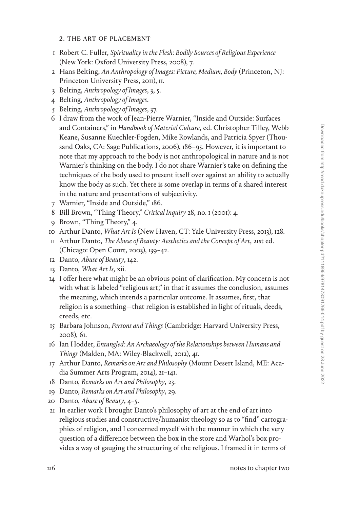### 2. the art of placement

- 1 Robert C. Fuller, *Spirituality in the Flesh: Bodily Sources of Religious Experience* (New York: Oxford University Press, 2008), 7.
- 2 Hans Belting, *An Anthropology of Images: Picture, Medium, Body* (Princeton, NJ: Princeton University Press, 2011), 11.
- 3 Belting, *Anthropology of Images*, 3, 5.
- 4 Belting, *Anthropology of Images*.
- 5 Belting, *Anthropology of Images*, 37.
- 6 I draw from the work of Jean-Pierre Warnier, "Inside and Outside: Surfaces and Containers," in *Handbook of Material Culture*, ed. Christopher Tilley, Webb Keane, Susanne Kuechler-Fogden, Mike Rowlands, and Patricia Spyer (Thousand Oaks, CA: Sage Publications, 2006), 186–95. However, it is important to note that my approach to the body is not anthropological in nature and is not Warnier's thinking on the body. I do not share Warnier's take on defining the techniques of the body used to present itself over against an ability to actually know the body as such. Yet there is some overlap in terms of a shared interest in the nature and presentations of subjectivity.
- 7 Warnier, "Inside and Outside," 186.
- 8 Bill Brown, "Thing Theory," *Critical Inquiry* 28, no. 1 (2001): 4.
- 9 Brown, "Thing Theory," 4.
- 10 Arthur Danto, *What Art Is* (New Haven, CT: Yale University Press, 2013), 128.
- 11 Arthur Danto, *The Abuse of Beauty: Aesthetics and the Concept of Art*, 21st ed. (Chicago: Open Court, 2003), 139–42.
- 12 Danto, *Abuse of Beauty*, 142.
- 13 Danto, *What Art Is*, xii.
- 14 I offer here what might be an obvious point of clarification. My concern is not with what is labeled "religious art," in that it assumes the conclusion, assumes the meaning, which intends a particular outcome. It assumes, first, that religion is a something—that religion is established in light of rituals, deeds, creeds, etc.
- 15 Barbara Johnson, *Persons and Things* (Cambridge: Harvard University Press, 2008), 61.
- 16 Ian Hodder, *Entangled: An Archaeology of the Relationships between Humans and Things* (Malden, MA: Wiley-Blackwell, 2012), 41.
- 17 Arthur Danto, *Remarks on Art and Philosophy* (Mount Desert Island, ME: Acadia Summer Arts Program, 2014), 21–141.
- 18 Danto, *Remarks on Art and Philosophy*, 23.
- 19 Danto, *Remarks on Art and Philosophy*, 29.
- 20 Danto, *Abuse of Beauty*, 4–5.
- 21 In earlier work I brought Danto's philosophy of art at the end of art into religious studies and constructive/humanist theology so as to "find" cartographies of religion, and I concerned myself with the manner in which the very question of a difference between the box in the store and Warhol's box provides a way of gauging the structuring of the religious. I framed it in terms of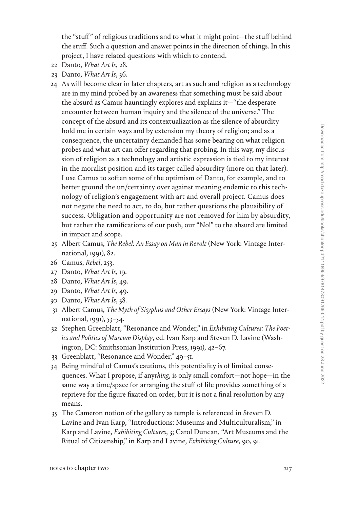the "stuff" of religious traditions and to what it might point—the stuff behind the stuff. Such a question and answer points in the direction of things. In this project, I have related questions with which to contend.

- 22 Danto, *What Art Is*, 28.
- 23 Danto, *What Art Is*, 36.
- 24 As will become clear in later chapters, art as such and religion as a technology are in my mind probed by an awareness that something must be said about the absurd as Camus hauntingly explores and explains it—"the desperate encounter between human inquiry and the silence of the universe." The concept of the absurd and its contextualization as the silence of absurdity hold me in certain ways and by extension my theory of religion; and as a consequence, the uncertainty demanded has some bearing on what religion probes and what art can offer regarding that probing. In this way, my discussion of religion as a technology and artistic expression is tied to my interest in the moralist position and its target called absurdity (more on that later). I use Camus to soften some of the optimism of Danto, for example, and to better ground the un/certainty over against meaning endemic to this technology of religion's engagement with art and overall project. Camus does not negate the need to act, to do, but rather questions the plausibility of success. Obligation and opportunity are not removed for him by absurdity, but rather the ramifications of our push, our "No!" to the absurd are limited in impact and scope.
- 25 Albert Camus, *The Rebel: An Essay on Man in Revolt* (New York: Vintage International, 1991), 82.
- 26 Camus, *Rebel*, 253.
- 27 Danto, *What Art Is*, 19.
- 28 Danto, *What Art Is*, 49.
- 29 Danto, *What Art Is*, 49.
- 30 Danto, *What Art Is*, 38.
- 31 Albert Camus, *The Myth of Sisyphus and Other Essays* (New York: Vintage International, 1991), 53–54.
- 32 Stephen Greenblatt, "Resonance and Wonder," in *Exhibiting Cultures: The Poetics and Politics of Museum Display*, ed. Ivan Karp and Steven D. Lavine (Washington, DC: Smithsonian Institution Press, 1991), 42–67.
- 33 Greenblatt, "Resonance and Wonder," 49–51.
- 34 Being mindful of Camus's cautions, this potentiality is of limited consequences. What I propose, if any*thing*, is only small comfort—not hope—in the same way a time/space for arranging the stuff of life provides something of a reprieve for the figure fixated on order, but it is not a final resolution by any means.
- 35 The Cameron notion of the gallery as temple is referenced in Steven D. Lavine and Ivan Karp, "Introductions: Museums and Multiculturalism," in Karp and Lavine, *Exhibiting Cultures*, 3; Carol Duncan, "Art Museums and the Ritual of Citizenship," in Karp and Lavine, *Exhibiting Culture*, 90, 91.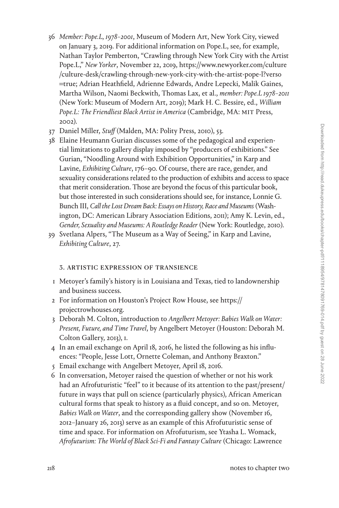- 36 *Member: Pope.L, 1978–2001*, Museum of Modern Art, New York City, viewed on January 3, 2019. For additional information on Pope.L, see, for example, Nathan Taylor Pemberton, "Crawling through New York City with the Artist Pope.L," *New Yorker*, November 22, 2019, [https://www.newyorker.com/culture](https://www.newyorker.com/culture/culture-desk/crawling-through-new-york-city-with-the-artist-pope-l?verso=true) [/culture-desk/crawling-through-new-york-city-with-the-artist-pope-l?verso](https://www.newyorker.com/culture/culture-desk/crawling-through-new-york-city-with-the-artist-pope-l?verso=true) =[true;](https://www.newyorker.com/culture/culture-desk/crawling-through-new-york-city-with-the-artist-pope-l?verso=true) Adrian Heathfield, Adrienne Edwards, Andre Lepecki, Malik Gaines, Martha Wilson, Naomi Beckwith, Thomas Lax, et al., *member: Pope.L 1978–2011* (New York: Museum of Modern Art, 2019); Mark H. C. Bessire, ed., *William Pope.L: The Friendliest Black Artist in America* (Cambridge, MA: MIT Press, 2002).
- 37 Daniel Miller, *Stuff* (Malden, MA: Polity Press, 2010), 53.
- 38 Elaine Heumann Gurian discusses some of the pedagogical and experiential limitations to gallery display imposed by "producers of exhibitions." See Gurian, "Noodling Around with Exhibition Opportunities," in Karp and Lavine, *Exhibiting Culture*, 176–90. Of course, there are race, gender, and sexuality considerations related to the production of exhibits and access to space that merit consideration. Those are beyond the focus of this particular book, but those interested in such considerations should see, for instance, Lonnie G. Bunch III, *Call the Lost Dream Back: Essays on History, Race and Museums* (Washington, DC: American Library Association Editions, 2011); Amy K. Levin, ed., *Gender, Sexuality and Museums: A Routledge Reader* (New York: Routledge, 2010).
- 39 Svetlana Alpers, "The Museum as a Way of Seeing," in Karp and Lavine, *Exhibiting Culture*, 27.

# 3. artistic expression of transience

- 1 Metoyer's family's history is in Louisiana and Texas, tied to landownership and business success.
- 2 For information on Houston's Project Row House, see [https://](https://projectrowhouses.org) [projectrowhouses.org](https://projectrowhouses.org).
- 3 Deborah M. Colton, introduction to *Angelbert Metoyer: Babies Walk on Water: Present, Future, and Time Travel*, by Angelbert Metoyer (Houston: Deborah M. Colton Gallery, 2013), 1.
- 4 In an email exchange on April 18, 2016, he listed the following as his influences: "People, Jesse Lott, Ornette Coleman, and Anthony Braxton."
- 5 Email exchange with Angelbert Metoyer, April 18, 2016.
- 6 In conversation, Metoyer raised the question of whether or not his work had an Afrofuturistic "feel" to it because of its attention to the past/present/ future in ways that pull on science (particularly physics), African American cultural forms that speak to history as a fluid concept, and so on. Metoyer, *Babies Walk on Water*, and the corresponding gallery show (November 16, 2012–January 26, 2013) serve as an example of this Afrofuturistic sense of time and space. For information on Afrofuturism, see Ytasha L. Womack, *Afrofuturism: The World of Black Sci-Fi and Fantasy Culture* (Chicago: Lawrence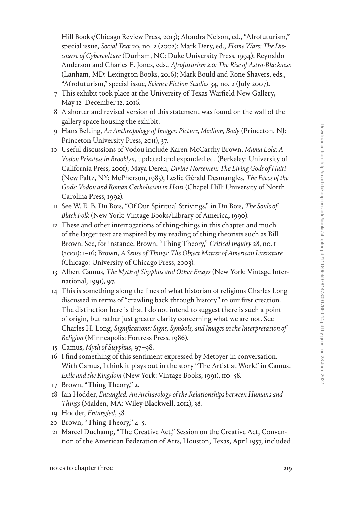Hill Books/Chicago Review Press, 2013); Alondra Nelson, ed., "Afrofuturism," special issue, *Social Text* 20, no. 2 (2002); Mark Dery, ed., *Flame Wars: The Discourse of Cyberculture* (Durham, NC: Duke University Press, 1994); Reynaldo Anderson and Charles E. Jones, eds., *Afrofuturism 2.0: The Rise of Astro-Blackness* (Lanham, MD: Lexington Books, 2016); Mark Bould and Rone Shavers, eds., "Afrofuturism," special issue, *Science Fiction Studies* 34, no. 2 (July 2007).

- 7 This exhibit took place at the University of Texas Warfield New Gallery, May 12–December 12, 2016.
- 8 A shorter and revised version of this statement was found on the wall of the gallery space housing the exhibit.
- 9 Hans Belting, *An Anthropology of Images: Picture, Medium, Body* (Princeton, NJ: Princeton University Press, 2011), 37.
- 10 Useful discussions of Vodou include Karen McCarthy Brown, *Mama Lola: A Vodou Priestess in Brooklyn*, updated and expanded ed. (Berkeley: University of California Press, 2001); Maya Deren, *Divine Horsemen: The Living Gods of Haiti* (New Paltz, NY: McPherson, 1983); Leslie Gérald Desmangles, *The Faces of the Gods: Vodou and Roman Catholicism in Haiti* (Chapel Hill: University of North Carolina Press, 1992).
- 11 See W. E. B. Du Bois, "Of Our Spiritual Strivings," in Du Bois, *The Souls of Black Folk* (New York: Vintage Books/Library of America, 1990).
- 12 These and other interrogations of thing-things in this chapter and much of the larger text are inspired by my reading of thing theorists such as Bill Brown. See, for instance, Brown, "Thing Theory," *Critical Inquiry* 28, no. 1 (2001): 1–16; Brown, *A Sense of Things: The Object Matter of American Literature* (Chicago: University of Chicago Press, 2003).
- 13 Albert Camus, *The Myth of Sisyphus and Other Essays* (New York: Vintage International, 1991), 97.
- 14 This is something along the lines of what historian of religions Charles Long discussed in terms of "crawling back through history" to our first creation. The distinction here is that I do not intend to suggest there is such a point of origin, but rather just greater clarity concerning what we are not. See Charles H. Long, *Significations: Signs, Symbols, and Images in the Interpretation of Religion* (Minneapolis: Fortress Press, 1986).
- 15 Camus, *Myth of Sisyphus*, 97–98.
- 16 I find something of this sentiment expressed by Metoyer in conversation. With Camus, I think it plays out in the story "The Artist at Work," in Camus, *Exile and the Kingdom* (New York: Vintage Books, 1991), 110–58.
- 17 Brown, "Thing Theory," 2.
- 18 Ian Hodder, *Entangled: An Archaeology of the Relationships between Humans and Things* (Malden, MA: Wiley-Blackwell, 2012), 38.
- 19 Hodder, *Entangled*, 58.
- 20 Brown, "Thing Theory," 4–5.
- 21 Marcel Duchamp, "The Creative Act," Session on the Creative Act, Convention of the American Federation of Arts, Houston, Texas, April 1957, included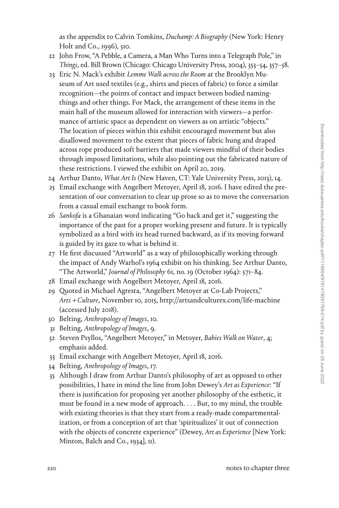as the appendix to Calvin Tomkins, *Duchamp: A Biography* (New York: Henry Holt and Co., 1996), 510.

- 22 John Frow, "A Pebble, a Camera, a Man Who Turns into a Telegraph Pole," in *Things*, ed. Bill Brown (Chicago: Chicago University Press, 2004), 353–54, 357–58.
- 23 Eric N. Mack's exhibit *Lemme Walk across the Room* at the Brooklyn Museum of Art used textiles (e.g., shirts and pieces of fabric) to force a similar recognition—the points of contact and impact between bodied namingthings and other things. For Mack, the arrangement of these items in the main hall of the museum allowed for interaction with viewers—a performance of artistic space as dependent on viewers as on artistic "objects." The location of pieces within this exhibit encouraged movement but also disallowed movement to the extent that pieces of fabric hung and draped across rope produced soft barriers that made viewers mindful of their bodies through imposed limitations, while also pointing out the fabricated nature of these restrictions. I viewed the exhibit on April 20, 2019.
- 24 Arthur Danto, *What Art Is* (New Haven, CT: Yale University Press, 2013), 14.
- 25 Email exchange with Angelbert Metoyer, April 18, 2016. I have edited the presentation of our conversation to clear up prose so as to move the conversation from a casual email exchange to book form.
- 26 *Sankofa* is a Ghanaian word indicating "Go back and get it," suggesting the importance of the past for a proper working present and future. It is typically symbolized as a bird with its head turned backward, as if its moving forward is guided by its gaze to what is behind it.
- 27 He first discussed "Artworld" as a way of philosophically working through the impact of Andy Warhol's 1964 exhibit on his thinking. See Arthur Danto, "The Artworld," *Journal of Philosophy* 61, no. 19 (October 1964): 571–84.
- 28 Email exchange with Angelbert Metoyer, April 18, 2016.
- 29 Quoted in Michael Agresta, "Angelbert Metoyer at Co-Lab Projects," *Arts* <sup>+</sup> *Culture*, November 10, 2015,<http://artsandculturex.com/life-machine> (accessed July 2018).
- 30 Belting, *Anthropology of Images*, 10.
- 31 Belting, *Anthropology of Images*, 9.
- 32 Steven Psyllos, "Angelbert Metoyer," in Metoyer, *Babies Walk on Water*, 4; emphasis added.
- 33 Email exchange with Angelbert Metoyer, April 18, 2016.
- 34 Belting, *Anthropology of Images*, 17.
- 35 Although I draw from Arthur Danto's philosophy of art as opposed to other possibilities, I have in mind the line from John Dewey's *Art as Experience*: "If there is justification for proposing yet another philosophy of the esthetic, it must be found in a new mode of approach. . . . But, to my mind, the trouble with existing theories is that they start from a ready-made compartmentalization, or from a conception of art that 'spiritualizes' it out of connection with the objects of concrete experience" (Dewey, *Art as Experience* [New York: Minton, Balch and Co., 1934], II).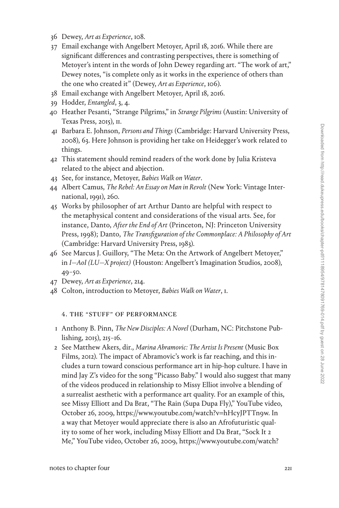- 36 Dewey, *Art as Experience*, 108.
- 37 Email exchange with Angelbert Metoyer, April 18, 2016. While there are significant differences and contrasting perspectives, there is something of Metoyer's intent in the words of John Dewey regarding art. "The work of art," Dewey notes, "is complete only as it works in the experience of others than the one who created it" (Dewey, *Art as Experience*, 106).
- 38 Email exchange with Angelbert Metoyer, April 18, 2016.
- 39 Hodder, *Entangled*, 3, 4.
- 40 Heather Pesanti, "Strange Pilgrims," in *Strange Pilgrims* (Austin: University of Texas Press, 2015), 11.
- 41 Barbara E. Johnson, *Persons and Things* (Cambridge: Harvard University Press, 2008), 63. Here Johnson is providing her take on Heidegger's work related to things.
- 42 This statement should remind readers of the work done by Julia Kristeva related to the abject and abjection.
- 43 See, for instance, Metoyer, *Babies Walk on Water*.
- 44 Albert Camus, *The Rebel: An Essay on Man in Revolt* (New York: Vintage International, 1991), 260.
- 45 Works by philosopher of art Arthur Danto are helpful with respect to the metaphysical content and considerations of the visual arts. See, for instance, Danto, *After the End of Art* (Princeton, NJ: Princeton University Press, 1998); Danto, *The Transfiguration of the Commonplace: A Philosophy of Art* (Cambridge: Harvard University Press, 1983).
- 46 See Marcus J. Guillory, "The Meta: On the Artwork of Angelbert Metoyer," in *I—AoI (LU—X project)* (Houston: Angelbert's Imagination Studios, 2008), 49–50.
- 47 Dewey, *Art as Experience*, 214.
- 48 Colton, introduction to Metoyer, *Babies Walk on Water*, 1.

4. the "stuff" of performance

- 1 Anthony B. Pinn, *The New Disciples: A Novel* (Durham, NC: Pitchstone Publishing, 2015), 215–16.
- 2 See Matthew Akers, dir., *Marina Abramovic: The Artist Is Present* (Music Box Films, 2012). The impact of Abramovic's work is far reaching, and this includes a turn toward conscious performance art in hip-hop culture. I have in mind Jay Z's video for the song "Picasso Baby." I would also suggest that many of the videos produced in relationship to Missy Elliot involve a blending of a surrealist aesthetic with a performance art quality. For an example of this, see Missy Elliott and Da Brat, "The Rain (Supa Dupa Fly)," YouTube video, October 26, 2009, [https://www.youtube.com/watch?v](https://www.youtube.com/watch?v=hHcyJPTTn9w)=hHcyJPTTn9w. In a way that Metoyer would appreciate there is also an Afrofuturistic quality to some of her work, including Missy Elliott and Da Brat, "Sock It 2 Me," YouTube video, October 26, 2009, [https://www.youtube.com/watch?](https://www.youtube.com/watch?v=9UvBX3REqSY)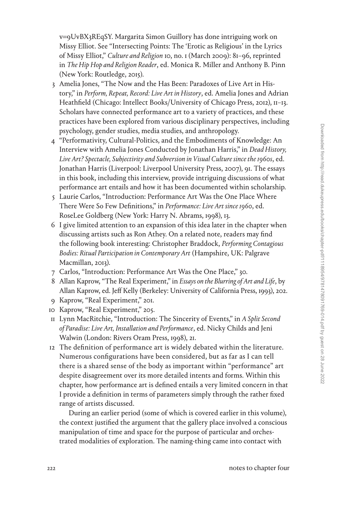v=[9UvBX3REqSY](https://www.youtube.com/watch?v=9UvBX3REqSY). Margarita Simon Guillory has done intriguing work on Missy Elliot. See "Intersecting Points: The 'Erotic as Religious' in the Lyrics of Missy Elliot," *Culture and Religion* 10, no. 1 (March 2009): 81–96, reprinted in *The Hip Hop and Religion Reader*, ed. Monica R. Miller and Anthony B. Pinn (New York: Routledge, 2015).

- 3 Amelia Jones, "The Now and the Has Been: Paradoxes of Live Art in History," in *Perform, Repeat, Record: Live Art in History*, ed. Amelia Jones and Adrian Heathfield (Chicago: Intellect Books/University of Chicago Press, 2012), 11–13. Scholars have connected performance art to a variety of practices, and these practices have been explored from various disciplinary perspectives, including psychology, gender studies, media studies, and anthropology.
- 4 "Performativity, Cultural-Politics, and the Embodiments of Knowledge: An Interview with Amelia Jones Conducted by Jonathan Harris," in *Dead History, Live Art? Spectacle, Subjectivity and Subversion in Visual Culture since the 1960s*, ed. Jonathan Harris (Liverpool: Liverpool University Press, 2007), 91. The essays in this book, including this interview, provide intriguing discussions of what performance art entails and how it has been documented within scholarship.
- 5 Laurie Carlos, "Introduction: Performance Art Was the One Place Where There Were So Few Definitions," in *Performance: Live Art since 1960*, ed. RoseLee Goldberg (New York: Harry N. Abrams, 1998), 13.
- 6 I give limited attention to an expansion of this idea later in the chapter when discussing artists such as Ron Athey. On a related note, readers may find the following book interesting: Christopher Braddock, *Performing Contagious Bodies: Ritual Participation in Contemporary Art* (Hampshire, UK: Palgrave Macmillan, 2013).
- 7 Carlos, "Introduction: Performance Art Was the One Place," 30.
- 8 Allan Kaprow, "The Real Experiment," in *Essays on the Blurring of Art and Life*, by Allan Kaprow, ed. Jeff Kelly (Berkeley: University of California Press, 1993), 202.
- 9 Kaprow, "Real Experiment," 201.
- 10 Kaprow, "Real Experiment," 205.
- 11 Lynn MacRitchie, "Introduction: The Sincerity of Events," in *A Split Second of Paradise: Live Art, Installation and Performance*, ed. Nicky Childs and Jeni Walwin (London: Rivers Oram Press, 1998), 21.
- 12 The definition of performance art is widely debated within the literature. Numerous configurations have been considered, but as far as I can tell there is a shared sense of the body as important within "performance" art despite disagreement over its more detailed intents and forms. Within this chapter, how performance art is defined entails a very limited concern in that I provide a definition in terms of parameters simply through the rather fixed range of artists discussed.

During an earlier period (some of which is covered earlier in this volume), the context justified the argument that the gallery place involved a conscious manipulation of time and space for the purpose of particular and orchestrated modalities of exploration. The naming-thing came into contact with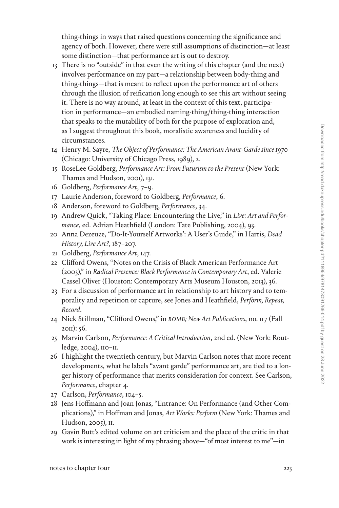thing-things in ways that raised questions concerning the significance and agency of both. However, there were still assumptions of distinction—at least some distinction—that performance art is out to destroy.

- 13 There is no "outside" in that even the writing of this chapter (and the next) involves performance on my part—a relationship between body-thing and thing-things—that is meant to reflect upon the performance art of others through the illusion of reification long enough to see this art without seeing it. There is no way around, at least in the context of this text, participation in performance—an embodied naming-thing/thing-thing interaction that speaks to the mutability of both for the purpose of exploration and, as I suggest throughout this book, moralistic awareness and lucidity of circumstances.
- 14 Henry M. Sayre, *The Object of Performance: The American Avant-Garde since 1970* (Chicago: University of Chicago Press, 1989), 2.
- 15 RoseLee Goldberg, *Performance Art: From Futurism to the Present* (New York: Thames and Hudson, 2001), 131.
- 16 Goldberg, *Performance Art*, 7–9.
- 17 Laurie Anderson, foreword to Goldberg, *Performance*, 6.
- 18 Anderson, foreword to Goldberg, *Performance*, 34.
- 19 Andrew Quick, "Taking Place: Encountering the Live," in *Live: Art and Performance*, ed. Adrian Heathfield (London: Tate Publishing, 2004), 93.
- 20 Anna Dezeuze, "Do-It-Yourself Artworks': A User's Guide," in Harris, *Dead History, Live Art?*, 187–207.
- 21 Goldberg, *Performance Art*, 147.
- 22 Clifford Owens, "Notes on the Crisis of Black American Performance Art (2003)," in *Radical Presence: Black Performance in Contemporary Art*, ed. Valerie Cassel Oliver (Houston: Contemporary Arts Museum Houston, 2013), 36.
- 23 For a discussion of performance art in relationship to art history and to temporality and repetition or capture, see Jones and Heathfield, *Perform, Repeat, Record*.
- 24 Nick Stillman, "Clifford Owens," in *BOMB; New Art Publications*, no. 117 (Fall 2011): 56.
- 25 Marvin Carlson, *Performance: A Critical Introduction*, 2nd ed. (New York: Routledge, 2004), 110–11.
- 26 I highlight the twentieth century, but Marvin Carlson notes that more recent developments, what he labels "avant garde" performance art, are tied to a longer history of performance that merits consideration for context. See Carlson, *Performance*, chapter 4.
- 27 Carlson, *Performance*, 104–5.
- 28 Jens Hoffmann and Joan Jonas, "Entrance: On Performance (and Other Complications)," in Hoffman and Jonas, *Art Works: Perform* (New York: Thames and Hudson, 2005), II.
- 29 Gavin Butt's edited volume on art criticism and the place of the critic in that work is interesting in light of my phrasing above—"of most interest to me"—in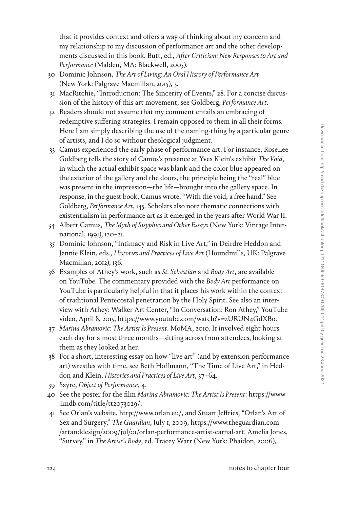that it provides context and offers a way of thinking about my concern and my relationship to my discussion of performance art and the other developments discussed in this book. Butt, ed., *After Criticism: New Responses to Art and Performance* (Malden, MA: Blackwell, 2005).

- 30 Dominic Johnson, *The Art of Living: An Oral History of Performance Art* (New York: Palgrave Macmillan, 2015), 3.
- 31 MacRitchie, "Introduction: The Sincerity of Events," 28. For a concise discussion of the history of this art movement, see Goldberg, *Performance Art*.
- 32 Readers should not assume that my comment entails an embracing of redemptive suffering strategies. I remain opposed to them in all their forms. Here I am simply describing the use of the naming-thing by a particular genre of artists, and I do so without theological judgment.
- 33 Camus experienced the early phase of performance art. For instance, RoseLee Goldberg tells the story of Camus's presence at Yves Klein's exhibit *The Void*, in which the actual exhibit space was blank and the color blue appeared on the exterior of the gallery and the doors, the principle being the "real" blue was present in the impression—the life—brought into the gallery space. In response, in the guest book, Camus wrote, "With the void, a free hand." See Goldberg, *Performance Art*, 145. Scholars also note thematic connections with existentialism in performance art as it emerged in the years after World War II.
- 34 Albert Camus, *The Myth of Sisyphus and Other Essays* (New York: Vintage International, 1991), 120–21.
- 35 Dominic Johnson, "Intimacy and Risk in Live Art," in Deirdre Heddon and Jennie Klein, eds., *Histories and Practices of Live Art* (Houndmills, UK: Palgrave Macmillan, 2012), 136.
- 36 Examples of Athey's work, such as *St. Sebastian* and *Body Art*, are available on YouTube. The commentary provided with the *Body Art* performance on YouTube is particularly helpful in that it places his work within the context of traditional Pentecostal penetration by the Holy Spirit. See also an interview with Athey: Walker Art Center, "In Conversation: Ron Athey," YouTube video, April 8, 2015, [https://www.youtube.com/watch?v](https://www.youtube.com/watch?v=zURUN4GdXBo)=zURUN4GdXBo.
- 37 *Marina Abramovic: The Artist Is Present*. MoMA, 2010. It involved eight hours each day for almost three months—sitting across from attendees, looking at them as they looked at her.
- 38 For a short, interesting essay on how "live art" (and by extension performance art) wrestles with time, see Beth Hoffmann, "The Time of Live Art," in Heddon and Klein, *Histories and Practices of Live Art*, 37–64.
- 39 Sayre, *Object of Performance*, 4.
- 40 See the poster for the film *Marina Abramovic: The Artist Is Present*: [https://www](https://www.imdb.com/title/tt2073029/) [.imdb.com/title/tt2073029/.](https://www.imdb.com/title/tt2073029/)
- 41 See Orlan's website, [http://www.orlan.eu/,](http://www.orlan.eu/) and Stuart Jeffries, "Orlan's Art of Sex and Surgery," *The Guardian*, July 1, 2009, [https://www.theguardian.com](https://www.theguardian.com/artanddesign/2009/jul/01/orlan-performance-artist-carnal-art) [/artanddesign/2009/jul/01/orlan-performance-artist-carnal-art](https://www.theguardian.com/artanddesign/2009/jul/01/orlan-performance-artist-carnal-art). Amelia Jones, "Survey," in *The Artist's Body*, ed. Tracey Warr (New York: Phaidon, 2006),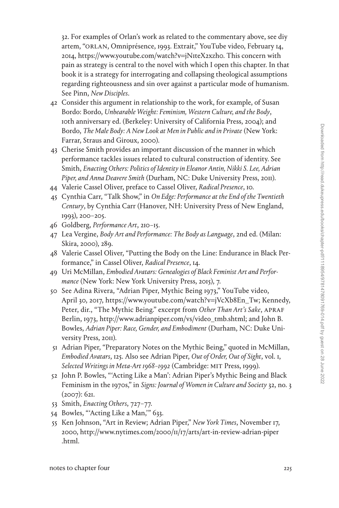32. For examples of Orlan's work as related to the commentary above, see diy artem, "ORLAN, Omniprésence, 1993. Extrait," YouTube video, February 14, 2014, [https://www.youtube.com/watch?v](https://www.youtube.com/watch?v=jN1teX2xzh0)=jN1teX2xzh0. This concern with pain as strategy is central to the novel with which I open this chapter. In that book it is a strategy for interrogating and collapsing theological assumptions regarding righteousness and sin over against a particular mode of humanism. See Pinn, *New Disciples*.

- 42 Consider this argument in relationship to the work, for example, of Susan Bordo: Bordo, *Unbearable Weight: Feminism, Western Culture, and the Body*, 10th anniversary ed. (Berkeley: University of California Press, 2004); and Bordo, *The Male Body: A New Look at Men in Public and in Private* (New York: Farrar, Straus and Giroux, 2000).
- 43 Cherise Smith provides an important discussion of the manner in which performance tackles issues related to cultural construction of identity. See Smith, *Enacting Others: Politics of Identity in Eleanor Antin, Nikki S. Lee, Adrian Piper, and Anna Deavere Smith* (Durham, NC: Duke University Press, 2011).
- 44 Valerie Cassel Oliver, preface to Cassel Oliver, *Radical Presence*, 10.
- 45 Cynthia Carr, "Talk Show," in *On Edge: Performance at the End of the Twentieth Century*, by Cynthia Carr (Hanover, NH: University Press of New England, 1993), 200–205.
- 46 Goldberg, *Performance Art*, 210–15.
- 47 Lea Vergine, *Body Art and Performance: The Body as Language*, 2nd ed. (Milan: Skira, 2000), 289.
- 48 Valerie Cassel Oliver, "Putting the Body on the Line: Endurance in Black Performance," in Cassel Oliver, *Radical Presence*, 14.
- 49 Uri McMillan, *Embodied Avatars: Genealogies of Black Feminist Art and Performance* (New York: New York University Press, 2015), 7.
- 50 See Adina Rivera, "Adrian Piper, Mythic Being 1973," YouTube video, April 30, 2017, [https://www.youtube.com/watch?v](https://www.youtube.com/watch?v=jVcXb8En_Tw)=jVcXb8En\_Tw; Kennedy, Peter, dir., "The Mythic Being." excerpt from *Other Than Art's Sake*, APRAF Berlin, 1973, [http://www.adrianpiper.com/vs/video\\_tmb.shtml;](http://www.adrianpiper.com/vs/video_tmb.shtml) and John B. Bowles, *Adrian Piper: Race, Gender, and Embodiment* (Durham, NC: Duke University Press, 2011).
- 51 Adrian Piper, "Preparatory Notes on the Mythic Being," quoted in McMillan, *Embodied Avatars*, 125. Also see Adrian Piper, *Out of Order, Out of Sight*, vol. 1, *Selected Writings in Meta-Art 1968–1992* (Cambridge: MIT Press, 1999).
- 52 John P. Bowles, "'Acting Like a Man': Adrian Piper's Mythic Being and Black Feminism in the 1970s," in *Signs: Journal of Women in Culture and Society* 32, no. 3 (2007): 621.
- 53 Smith, *Enacting Others*, 727–77.
- 54 Bowles, "'Acting Like a Man,'" 633.
- 55 Ken Johnson, "Art in Review; Adrian Piper," *New York Times*, November 17, 2000, [http://www.nytimes.com/2000/11/17/arts/art-in-review-adrian-piper](http://www.nytimes.com/2000/11/17/arts/art-in-review-adrian-piper.html) [.html](http://www.nytimes.com/2000/11/17/arts/art-in-review-adrian-piper.html).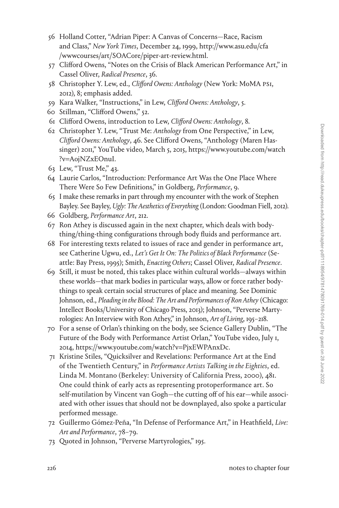- 56 Holland Cotter, "Adrian Piper: A Canvas of Concerns—Race, Racism and Class," *New York Times*, December 24, 1999, [http://www.asu.edu/cfa](http://www.asu.edu/cfa/wwwcourses/art/SOACore/piper-art-review.html) [/wwwcourses/art/SOACore/piper-art-review.html](http://www.asu.edu/cfa/wwwcourses/art/SOACore/piper-art-review.html).
- 57 Clifford Owens, "Notes on the Crisis of Black American Performance Art," in Cassel Oliver, *Radical Presence*, 36.
- 58 Christopher Y. Lew, ed., *Clifford Owens: Anthology* (New York: MoMA PS1, 2012), 8; emphasis added.
- 59 Kara Walker, "Instructions," in Lew, *Clifford Owens: Anthology*, 5.
- 60 Stillman, "Clifford Owens," 52.
- 61 Clifford Owens, introduction to Lew, *Clifford Owens: Anthology*, 8.
- 62 Christopher Y. Lew, "Trust Me: *Anthology* from One Perspective," in Lew, *Clifford Owens: Anthology*, 46. See Clifford Owens, "Anthology (Maren Hassinger) 2011," YouTube video, March 5, 2015, [https://www.youtube.com/watch](https://www.youtube.com/watch?v=AojNZxEOnuI) ?v=[AojNZxEOnuI.](https://www.youtube.com/watch?v=AojNZxEOnuI)
- 63 Lew, "Trust Me," 43.
- 64 Laurie Carlos, "Introduction: Performance Art Was the One Place Where There Were So Few Definitions," in Goldberg, *Performance*, 9.
- 65 I make these remarks in part through my encounter with the work of Stephen Bayley. See Bayley, *Ugly: The Aesthetics of Everything* (London: Goodman Fiell, 2012).
- 66 Goldberg, *Performance Art*, 212.
- 67 Ron Athey is discussed again in the next chapter, which deals with bodything/thing-thing configurations through body fluids and performance art.
- 68 For interesting texts related to issues of race and gender in performance art, see Catherine Ugwu, ed., *Let's Get It On: The Politics of Black Performance* (Seattle: Bay Press, 1995); Smith, *Enacting Others*; Cassel Oliver, *Radical Presence*.
- 69 Still, it must be noted, this takes place within cultural worlds—always within these worlds—that mark bodies in particular ways, allow or force rather bodythings to speak certain social structures of place and meaning. See Dominic Johnson, ed., *Pleading in the Blood: The Art and Performances of Ron Athey* (Chicago: Intellect Books/University of Chicago Press, 2013); Johnson, "Perverse Martyrologies: An Interview with Ron Athey," in Johnson, *Art of Living*, 195–218.
- 70 For a sense of Orlan's thinking on the body, see Science Gallery Dublin, "The Future of the Body with Performance Artist Orlan," YouTube video, July 1, 2014, [https://www.youtube.com/watch?v](https://www.youtube.com/watch?v=PjxEWPAnxDc)=PjxEWPAnxDc.
- 71 Kristine Stiles, "Quicksilver and Revelations: Performance Art at the End of the Twentieth Century," in *Performance Artists Talking in the Eighties*, ed. Linda M. Montano (Berkeley: University of California Press, 2000), 481. One could think of early acts as representing protoperformance art. So self-mutilation by Vincent van Gogh—the cutting off of his ear—while associated with other issues that should not be downplayed, also spoke a particular performed message.
- 72 Guillermo Gómez-Peña, "In Defense of Performance Art," in Heathfield, *Live: Art and Performance*, 78–79.
- 73 Quoted in Johnson, "Perverse Martyrologies," 195.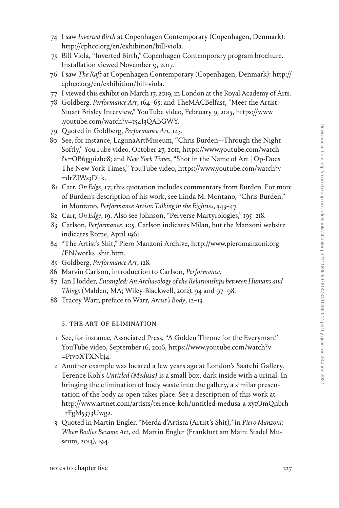- 74 I saw *Inverted Birth* at Copenhagen Contemporary (Copenhagen, Denmark): <http://cphco.org/en/exhibition/bill-viola>.
- 75 Bill Viola, "Inverted Birth," Copenhagen Contemporary program brochure. Installation viewed November 9, 2017.
- 76 I saw *The Raft* at Copenhagen Contemporary (Copenhagen, Denmark): [http://](http://cphco.org/en/exhibition/bill-viola) [cphco.org/en/exhibition/bill-viola](http://cphco.org/en/exhibition/bill-viola).
- 77 I viewed this exhibit on March 17, 2019, in London at the Royal Academy of Arts.
- 78 Goldberg, *Performance Art*, 164–65; and TheMACBelfast, "Meet the Artist: Stuart Brisley Interview," YouTube video, February 9, 2015, [https://www](https://www.youtube.com/watch?v=t54I3QABGWY) [.youtube.com/watch?v](https://www.youtube.com/watch?v=t54I3QABGWY)=t54I3QABGWY.
- 79 Quoted in Goldberg, *Performance Art*, 145.
- 80 See, for instance, LagunaArtMuseum, "Chris Burden—Through the Night Softly," YouTube video, October 27, 2011, [https://www.youtube.com/watch](https://www.youtube.com/watch?v=OB6gg1i2hc8) ?v=[OB6gg1i2hc8;](https://www.youtube.com/watch?v=OB6gg1i2hc8) and *New York Times*, "Shot in the Name of Art | Op-Docs | The New York Times," YouTube video, [https://www.youtube.com/watch?v](https://www.youtube.com/watch?v=drZIWs3Dl1k) =[drZIWs3Dl1k.](https://www.youtube.com/watch?v=drZIWs3Dl1k)
- 81 Carr, *On Edge*, 17; this quotation includes commentary from Burden. For more of Burden's description of his work, see Linda M. Montano, "Chris Burden," in Montano, *Performance Artists Talking in the Eighties*, 343–47.
- 82 Carr, *On Edge*, 19. Also see Johnson, "Perverse Martyrologies," 195–218.
- 83 Carlson, *Performance*, 105. Carlson indicates Milan, but the Manzoni website indicates Rome, April 1961.
- 84 "The Artist's Shit," Piero Manzoni Archive, [http://www.pieromanzoni.org](http://www.pieromanzoni.org/EN/works_shit.htm) [/EN/works\\_shit.htm.](http://www.pieromanzoni.org/EN/works_shit.htm)
- 85 Goldberg, *Performance Art*, 128.
- 86 Marvin Carlson, introduction to Carlson, *Performance*.
- 87 Ian Hodder, *Entangled: An Archaeology of the Relationships between Humans and Things* (Malden, MA; Wiley-Blackwell, 2012), 94 and 97–98.
- 88 Tracey Warr, preface to Warr, *Artist's Body*, 12–13.

# 5. the art of elimination

- 1 See, for instance, Associated Press, "A Golden Throne for the Everyman," YouTube video, September 16, 2016, [https://www.youtube.com/watch?v](https://www.youtube.com/watch?v=P1v0XTXNbj4) =[P1v0XTXNbj4](https://www.youtube.com/watch?v=P1v0XTXNbj4).
- 2 Another example was located a few years ago at London's Saatchi Gallery. Terence Koh's *Untitled (Medusa)* is a small box, dark inside with a urinal. In bringing the elimination of body waste into the gallery, a similar presentation of the body as open takes place. See a description of this work at [http://www.artnet.com/artists/terence-koh/untitled-medusa-a-xy1OmQnbrh](http://www.artnet.com/artists/terence-koh/untitled-medusa-a-xy1OmQnbrh_rFgM5373Uwg2) [\\_rFgM5373Uwg2.](http://www.artnet.com/artists/terence-koh/untitled-medusa-a-xy1OmQnbrh_rFgM5373Uwg2)
- 3 Quoted in Martin Engler, "Merda d'Artista (Artist's Shit)," in *Piero Manzoni: When Bodies Became Art*, ed. Martin Engler (Frankfurt am Main: Stadel Museum, 2013), 194.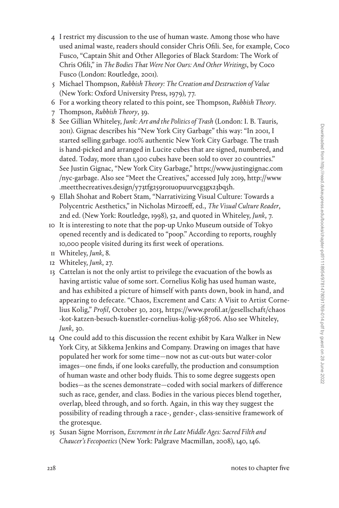- 4 I restrict my discussion to the use of human waste. Among those who have used animal waste, readers should consider Chris Ofili. See, for example, Coco Fusco, "Captain Shit and Other Allegories of Black Stardom: The Work of Chris Ofili," in *The Bodies That Were Not Ours: And Other Writings*, by Coco Fusco (London: Routledge, 2001).
- 5 Michael Thompson, *Rubbish Theory: The Creation and Destruction of Value* (New York: Oxford University Press, 1979), 77.
- 6 For a working theory related to this point, see Thompson, *Rubbish Theory*.
- 7 Thompson, *Rubbish Theory*, 39.
- 8 See Gillian Whiteley, *Junk: Art and the Politics of Trash* (London: I. B. Tauris, 2011). Gignac describes his "New York City Garbage" this way: "In 2001, I started selling garbage. 100% authentic New York City Garbage. The trash is hand-picked and arranged in Lucite cubes that are signed, numbered, and dated. Today, more than 1,300 cubes have been sold to over 20 countries." See Justin Gignac, "New York City Garbage," [https://www.justingignac.com](https://www.justingignac.com/nyc-garbage) [/nyc-garbage.](https://www.justingignac.com/nyc-garbage) Also see "Meet the Creatives," accessed July 2019, [http://www](http://www.meetthecreatives.design/y73tfg259ro1uopuurvcg3gx23bq5h) [.meetthecreatives.design/y73tfg259ro1uopuurvcg3gx23bq5h.](http://www.meetthecreatives.design/y73tfg259ro1uopuurvcg3gx23bq5h)
- 9 Ellah Shohat and Robert Stam, "Narrativizing Visual Culture: Towards a Polycentric Aesthetics," in Nicholas Mirzoeff, ed., *The Visual Culture Reader*, 2nd ed. (New York: Routledge, 1998), 52, and quoted in Whiteley, *Junk*, 7.
- 10 It is interesting to note that the pop-up Unko Museum outside of Tokyo opened recently and is dedicated to "poop." According to reports, roughly 10,000 people visited during its first week of operations.
- 11 Whiteley, *Junk*, 8.
- 12 Whiteley, *Junk*, 27.
- 13 Cattelan is not the only artist to privilege the evacuation of the bowls as having artistic value of some sort. Cornelius Kolig has used human waste, and has exhibited a picture of himself with pants down, book in hand, and appearing to defecate. "Chaos, Excrement and Cats: A Visit to Artist Cornelius Kolig," *Profil*, October 30, 2013, [https://www.profil.at/gesellschaft/chaos](https://www.profil.at/gesellschaft/chaos-kot-katzen-besuch-kuenstler-cornelius-kolig-368706) [-kot-katzen-besuch-kuenstler-cornelius-kolig-368706](https://www.profil.at/gesellschaft/chaos-kot-katzen-besuch-kuenstler-cornelius-kolig-368706). Also see Whiteley, *Junk*, 30.
- 14 One could add to this discussion the recent exhibit by Kara Walker in New York City, at Sikkema Jenkins and Company. Drawing on images that have populated her work for some time—now not as cut-outs but water-color images—one finds, if one looks carefully, the production and consumption of human waste and other body fluids. This to some degree suggests open bodies—as the scenes demonstrate—coded with social markers of difference such as race, gender, and class. Bodies in the various pieces blend together, overlap, bleed through, and so forth. Again, in this way they suggest the possibility of reading through a race-, gender-, class-sensitive framework of the grotesque.
- 15 Susan Signe Morrison, *Excrement in the Late Middle Ages: Sacred Filth and Chaucer's Fecopoetics* (New York: Palgrave Macmillan, 2008), 140, 146.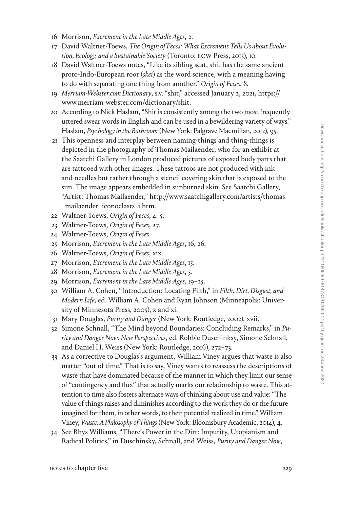- 16 Morrison, *Excrement in the Late Middle Ages*, 2.
- 17 David Waltner-Toews, *The Origin of Feces: What Excrement Tells Us about Evolution, Ecology, and a Sustainable Society* (Toronto: ECW Press, 2013), 10.
- 18 David Waltner-Toews notes, "Like its sibling scat, shit has the same ancient proto-Indo-European root (*skei*) as the word science, with a meaning having to do with separating one thing from another." *Origin of Feces*, 8.
- 19 *Merriam-Webster.com Dictionary*, s.v. "shit," accessed January 2, 2021, [https://](https://www.merriam-webster.com/dictionary/shit) [www.merriam-webster.com/dictionary/shit](https://www.merriam-webster.com/dictionary/shit).
- 20 According to Nick Haslam, "Shit is consistently among the two most frequently uttered swear words in English and can be used in a bewildering variety of ways." Haslam, *Psychology in the Bathroom* (New York: Palgrave Macmillan, 2012), 95.
- 21 This openness and interplay between naming-things and thing-things is depicted in the photography of Thomas Mailaender, who for an exhibit at the Saatchi Gallery in London produced pictures of exposed body parts that are tattooed with other images. These tattoos are not produced with ink and needles but rather through a stencil covering skin that is exposed to the sun. The image appears embedded in sunburned skin. See Saatchi Gallery, "Artist: Thomas Mailaender," [http://www.saatchigallery.com/artists/thomas](http://www.saatchigallery.com/artists/thomas_mailaender_iconoclasts_i.htm) [\\_mailaender\\_iconoclasts\\_i.htm.](http://www.saatchigallery.com/artists/thomas_mailaender_iconoclasts_i.htm)
- 22 Waltner-Toews, *Origin of Feces*, 4–5.
- 23 Waltner-Toews, *Origin of Feces*, 27.
- 24 Waltner-Toews, *Origin of Feces*.
- 25 Morrison, *Excrement in the Late Middle Ages*, 16, 26.
- 26 Waltner-Toews, *Origin of Feces*, xix.
- 27 Morrison, *Excrement in the Late Middle Ages*, 15.
- 28 Morrison, *Excrement in the Late Middle Ages*, 5.
- 29 Morrison, *Excrement in the Late Middle Ages*, 19–25.
- 30 William A. Cohen, "Introduction: Locating Filth," in *Filth: Dirt, Disgust, and Modern Life*, ed. William A. Cohen and Ryan Johnson (Minneapolis: University of Minnesota Press, 2005), x and xi.
- 31 Mary Douglas, *Purity and Danger* (New York: Routledge, 2002), xvii.
- 32 Simone Schnall, "The Mind beyond Boundaries: Concluding Remarks," in *Purity and Danger Now: New Perspectives*, ed. Robbie Duschinksy, Simone Schnall, and Daniel H. Weiss (New York: Routledge, 2016), 272–73.
- 33 As a corrective to Douglas's argument, William Viney argues that waste is also matter "out of time." That is to say, Viney wants to reassess the descriptions of waste that have dominated because of the manner in which they limit our sense of "contingency and flux" that actually marks our relationship to waste. This attention to time also fosters alternate ways of thinking about use and value: "The value of things raises and diminishes according to the work they do or the future imagined for them, in other words, to their potential realized in time." William Viney, *Waste: A Philosophy of Things* (New York: Bloomsbury Academic, 2014), 4.
- 34 See Rhys Williams, "There's Power in the Dirt: Impurity, Utopianism and Radical Politics," in Duschinsky, Schnall, and Weiss, *Purity and Danger Now*,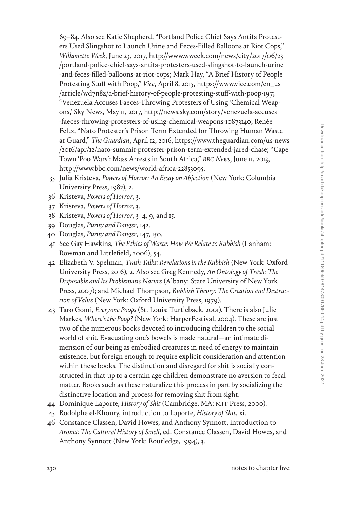69–84. Also see Katie Shepherd, "Portland Police Chief Says Antifa Protesters Used Slingshot to Launch Urine and Feces-Filled Balloons at Riot Cops," *Willamette Week*, June 23, 2017, [http://www.wweek.com/news/city/2017/06/23](http://www.wweek.com/news/city/2017/06/23/portland-police-chief-says-antifa-protesters-used-slingshot-to-launch-urine-and-feces-filled-balloons-at-riot-cops) [/portland-police-chief-says-antifa-protesters-used-slingshot-to-launch-urine](http://www.wweek.com/news/city/2017/06/23/portland-police-chief-says-antifa-protesters-used-slingshot-to-launch-urine-and-feces-filled-balloons-at-riot-cops) [-and-feces-filled-balloons-at-riot-cops](http://www.wweek.com/news/city/2017/06/23/portland-police-chief-says-antifa-protesters-used-slingshot-to-launch-urine-and-feces-filled-balloons-at-riot-cops); Mark Hay, "A Brief History of People Protesting Stuff with Poop," *Vice*, April 8, 2015, [https://www.vice.com/en\\_us](https://www.vice.com/en_us/article/wd7n8z/a-brief-history-of-people-protesting-stuff-with-poop-197) [/article/wd7n8z/a-brief-history-of-people-protesting-stuff-with-poop-197;](https://www.vice.com/en_us/article/wd7n8z/a-brief-history-of-people-protesting-stuff-with-poop-197) "Venezuela Accuses Faeces-Throwing Protesters of Using 'Chemical Weapons,' Sky News, May 11, 2017, [http://news.sky.com/story/venezuela-accuses](http://news.sky.com/story/venezuela-accuses-faeces-throwing-protesters-of-using-chemical-weapons-10873140) [-faeces-throwing-protesters-of-using-chemical-weapons-10873140;](http://news.sky.com/story/venezuela-accuses-faeces-throwing-protesters-of-using-chemical-weapons-10873140) Renée Feltz, "Nato Protester's Prison Term Extended for Throwing Human Waste at Guard," *The Guardian*, April 12, 2016, [https://www.theguardian.com/us-news](https://www.theguardian.com/us-news/2016/apr/12/nato-summit-protester-prison-term-extended-jared-chase) [/2016/apr/12/nato-summit-protester-prison-term-extended-jared-chase](https://www.theguardian.com/us-news/2016/apr/12/nato-summit-protester-prison-term-extended-jared-chase); "Cape Town 'Poo Wars': Mass Arrests in South Africa," *BBC News*, June 11, 2013, <http://www.bbc.com/news/world-africa-22853095>.

- 35 Julia Kristeva, *Powers of Horror: An Essay on Abjection* (New York: Columbia University Press, 1982), 2.
- 36 Kristeva, *Powers of Horror*, 3.
- 37 Kristeva, *Powers of Horror*, 3.
- 38 Kristeva, *Powers of Horror*, 3–4, 9, and 15.
- 39 Douglas, *Purity and Danger*, 142.
- 40 Douglas, *Purity and Danger*, 147, 150.
- 41 See Gay Hawkins, *The Ethics of Waste: How We Relate to Rubbish* (Lanham: Rowman and Littlefield, 2006), 54.
- 42 Elizabeth V. Spelman, *Trash Talks: Revelations in the Rubbish* (New York: Oxford University Press, 2016), 2. Also see Greg Kennedy, *An Ontology of Trash: The Disposable and Its Problematic Nature* (Albany: State University of New York Press, 2007); and Michael Thompson, *Rubbish Theory: The Creation and Destruction of Value* (New York: Oxford University Press, 1979).
- 43 Taro Gomi, *Everyone Poops* (St. Louis: Turtleback, 2001). There is also Julie Markes, *Where's the Poop?* (New York: HarperFestival, 2004). These are just two of the numerous books devoted to introducing children to the social world of shit. Evacuating one's bowels is made natural—an intimate dimension of our being as embodied creatures in need of energy to maintain existence, but foreign enough to require explicit consideration and attention within these books. The distinction and disregard for shit is socially constructed in that up to a certain age children demonstrate no aversion to fecal matter. Books such as these naturalize this process in part by socializing the distinctive location and process for removing shit from sight.
- 44 Dominique Laporte, *History of Shit* (Cambridge, MA: MIT Press, 2000).
- 45 Rodolphe el-Khoury, introduction to Laporte, *History of Shit*, xi.
- 46 Constance Classen, David Howes, and Anthony Synnott, introduction to *Aroma: The Cultural History of Smell*, ed. Constance Classen, David Howes, and Anthony Synnott (New York: Routledge, 1994), 3.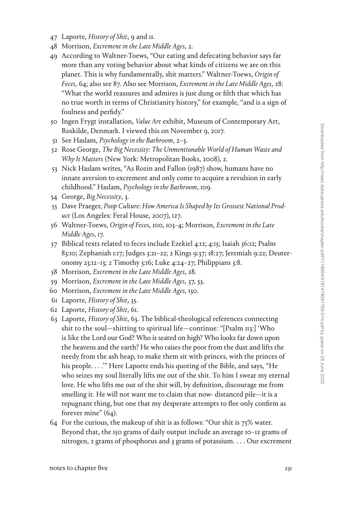- 47 Laporte, *History of Shit*, 9 and 11.
- 48 Morrison, *Excrement in the Late Middle Ages*, 2.
- 49 According to Waltner-Toews, "Our eating and defecating behavior says far more than any voting behavior about what kinds of citizens we are on this planet. This is why fundamentally, shit matters." Waltner-Toews, *Origin of Feces*, 64; also see 87. Also see Morrison, *Excrement in the Late Middle Ages*, 28: "What the world reassures and admires is just dung or filth that which has no true worth in terms of Christianity history," for example, "and is a sign of foulness and perfidy."
- 50 Ingen Frygt installation, *Value Art* exhibit, Museum of Contemporary Art, Roskilde, Denmark. I viewed this on November 9, 2017.
- 51 See Haslam, *Psychology in the Bathroom*, 2–3.
- 52 Rose George, *The Big Necessity: The Unmentionable World of Human Waste and Why It Matters* (New York: Metropolitan Books, 2008), 2.
- 53 Nick Haslam writes, "As Rozin and Fallon (1987) show, humans have no innate aversion to excrement and only come to acquire a revulsion in early childhood." Haslam, *Psychology in the Bathroom*, 109.
- 54 George, *Big Necessity*, 3.
- 55 Dave Praeger, *Poop Culture: How America Is Shaped by Its Grossest National Product* (Los Angeles: Feral House, 2007), 127.
- 56 Waltner-Toews, *Origin of Feces*, 100, 103–4; Morrison, *Excrement in the Late Middle Ages*, 17.
- 57 Biblical texts related to feces include Ezekiel 4:12; 4:15; Isaiah 36:12; Psalm 83:10; Zephaniah 1:17; Judges 3:21–22; 2 Kings 9:37; 18:27; Jeremiah 9:22; Deuteronomy 23:12–13; 2 Timothy 3:16; Luke 4:24–27; Philippians 3:8.
- 58 Morrison, *Excrement in the Late Middle Ages*, 28.
- 59 Morrison, *Excrement in the Late Middle Ages*, 37, 53.
- 60 Morrison, *Excrement in the Late Middle Ages*, 130.
- 61 Laporte, *History of Shit*, 35.
- 62 Laporte, *History of Shit*, 61.
- 63 Laporte, *History of Shit*, 63. The biblical-theological references connecting shit to the soul—shitting to spiritual life—continue: "[Psalm 113:] 'Who is like the Lord our God? Who is seated on high? Who looks far down upon the heavens and the earth? He who raises the poor from the dust and lifts the needy from the ash heap, to make them sit with princes, with the princes of his people. . . .'" Here Laporte ends his quoting of the Bible, and says, "He who seizes my soul literally lifts me out of the shit. To him I swear my eternal love. He who lifts me out of the shit will, by definition, discourage me from smelling it. He will not want me to claim that now- distanced pile—it is a repugnant thing, but one that my desperate attempts to flee only confirm as forever mine" (64).
- 64 For the curious, the makeup of shit is as follows: "Our shit is 75% water. Beyond that, the 150 grams of daily output include an average 10–12 grams of nitrogen, 2 grams of phosphorus and 3 grams of potassium. . . . Our excrement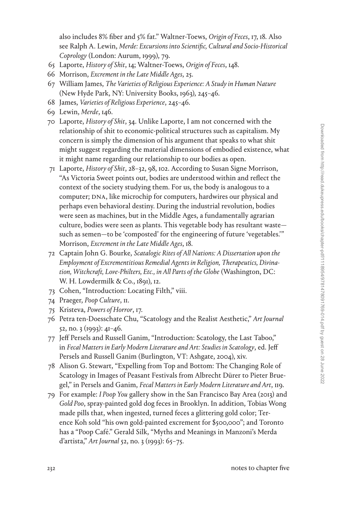also includes 8% fiber and 5% fat." Waltner-Toews, *Origin of Feces*, 17, 18. Also see Ralph A. Lewin, *Merde: Excursions into Scientific, Cultural and Socio-Historical Coprology* (London: Aurum, 1999), 79.

- 65 Laporte, *History of Shit*, 14; Waltner-Toews, *Origin of Feces*, 148.
- 66 Morrison, *Excrement in the Late Middle Ages*, 25.
- 67 William James, *The Varieties of Religious Experience: A Study in Human Nature* (New Hyde Park, NY: University Books, 1963), 245–46.
- 68 James, *Varieties of Religious Experience*, 245–46.
- 69 Lewin, *Merde*, 146.
- 70 Laporte, *History of Shit*, 34. Unlike Laporte, I am not concerned with the relationship of shit to economic-political structures such as capitalism. My concern is simply the dimension of his argument that speaks to what shit might suggest regarding the material dimensions of embodied existence, what it might name regarding our relationship to our bodies as open.
- 71 Laporte, *History of Shit*, 28–32, 98, 102. According to Susan Signe Morrison, "As Victoria Sweet points out, bodies are understood within and reflect the context of the society studying them. For us, the body is analogous to a computer; DNA, like microchip for computers, hardwires our physical and perhaps even behavioral destiny. During the industrial revolution, bodies were seen as machines, but in the Middle Ages, a fundamentally agrarian culture, bodies were seen as plants. This vegetable body has resultant waste such as semen—to be 'composted' for the engineering of future 'vegetables.'" Morrison, *Excrement in the Late Middle Ages*, 18.
- 72 Captain John G. Bourke, *Scatalogic Rites of All Nations: A Dissertation upon the Employment of Excrementitious Remedial Agents in Religion, Therapeutics, Divination, Witchcraft, Love-Philters, Etc., in All Parts of the Globe* (Washington, DC: W. H. Lowdermilk & Co., 1891), 12.
- 73 Cohen, "Introduction: Locating Filth," viii.
- 74 Praeger, *Poop Culture*, 11.
- 75 Kristeva, *Powers of Horror*, 17.
- 76 Petra ten-Doesschate Chu, "Scatology and the Realist Aesthetic," *Art Journal* 52, no. 3 (1993): 41–46.
- 77 Jeff Persels and Russell Ganim, "Introduction: Scatology, the Last Taboo," in *Fecal Matters in Early Modern Literature and Art: Studies in Scatology*, ed. Jeff Persels and Russell Ganim (Burlington, VT: Ashgate, 2004), xiv.
- 78 Alison G. Stewart, "Expelling from Top and Bottom: The Changing Role of Scatology in Images of Peasant Festivals from Albrecht Dürer to Pieter Bruegel," in Persels and Ganim, *Fecal Matters in Early Modern Literature and Art*, 119.
- 79 For example: *I Poop You* gallery show in the San Francisco Bay Area (2013) and *Gold Poo*, spray-painted gold dog feces in Brooklyn. In addition, Tobias Wong made pills that, when ingested, turned feces a glittering gold color; Terence Koh sold "his own gold-painted excrement for \$500,000"; and Toronto has a "Poop Café." Gerald Silk, "Myths and Meanings in Manzoni's Merda d'artista," *Art Journal* 52, no. 3 (1993): 65–75.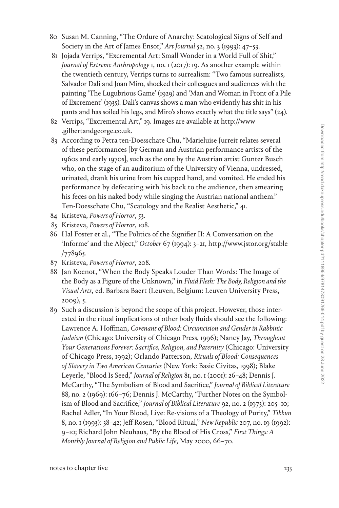- 80 Susan M. Canning, "The Ordure of Anarchy: Scatological Signs of Self and Society in the Art of James Ensor," *Art Journal* 52, no. 3 (1993): 47–53.
- 81 Jojada Verrips, "Excremental Art: Small Wonder in a World Full of Shit," *Journal of Extreme Anthropology* 1, no. 1 (2017): 19. As another example within the twentieth century, Verrips turns to surrealism: "Two famous surrealists, Salvador Dali and Joan Miro, shocked their colleagues and audiences with the painting 'The Lugubrious Game' (1929) and 'Man and Woman in Front of a Pile of Excrement' (1935). Dali's canvas shows a man who evidently has shit in his pants and has soiled his legs, and Miro's shows exactly what the title says" (24).
- 82 Verrips, "Excremental Art," 19. Images are available at [http://www](http://www.gilbertandgeorge.co.uk) [.gilbertandgeorge.co.uk.](http://www.gilbertandgeorge.co.uk)
- 83 According to Petra ten-Doesschate Chu, "Marieluise Jurreit relates several of these performances [by German and Austrian performance artists of the 1960s and early 1970s], such as the one by the Austrian artist Gunter Busch who, on the stage of an auditorium of the University of Vienna, undressed, urinated, drank his urine from his cupped hand, and vomited. He ended his performance by defecating with his back to the audience, then smearing his feces on his naked body while singing the Austrian national anthem." Ten-Doesschate Chu, "Scatology and the Realist Aesthetic," 41.
- 84 Kristeva, *Powers of Horror*, 53.
- 85 Kristeva, *Powers of Horror*, 108.
- 86 Hal Foster et al., "The Politics of the Signifier II: A Conversation on the 'Informe' and the Abject," *October* 67 (1994): 3–21, [http://www.jstor.org/stable](http://www.jstor.org/stable/778965) [/778965](http://www.jstor.org/stable/778965).
- 87 Kristeva, *Powers of Horror*, 208.
- 88 Jan Koenot, "When the Body Speaks Louder Than Words: The Image of the Body as a Figure of the Unknown," in *Fluid Flesh: The Body, Religion and the Visual Arts*, ed. Barbara Baert (Leuven, Belgium: Leuven University Press, 2009), 5.
- 89 Such a discussion is beyond the scope of this project. However, those interested in the ritual implications of other body fluids should see the following: Lawrence A. Hoffman, *Covenant of Blood: Circumcision and Gender in Rabbinic Judaism* (Chicago: University of Chicago Press, 1996); Nancy Jay, *Throughout Your Generations Forever: Sacrifice, Religion, and Paternity* (Chicago: University of Chicago Press, 1992); Orlando Patterson, *Rituals of Blood: Consequences of Slavery in Two American Centuries* (New York: Basic Civitas, 1998); Blake Leyerle, "Blood Is Seed," *Journal of Religion* 81, no. 1 (2001): 26–48; Dennis J. McCarthy, "The Symbolism of Blood and Sacrifice," *Journal of Biblical Literature* 88, no. 2 (1969): 166–76; Dennis J. McCarthy, "Further Notes on the Symbolism of Blood and Sacrifice," *Journal of Biblical Literature* 92, no. 2 (1973): 205–10; Rachel Adler, "In Your Blood, Live: Re-visions of a Theology of Purity," *Tikkun* 8, no. 1 (1993): 38–42; Jeff Rosen, "Blood Ritual," *New Republic* 207, no. 19 (1992): 9–10; Richard John Neuhaus, "By the Blood of His Cross," *First Things: A Monthly Journal of Religion and Public Life*, May 2000, 66–70.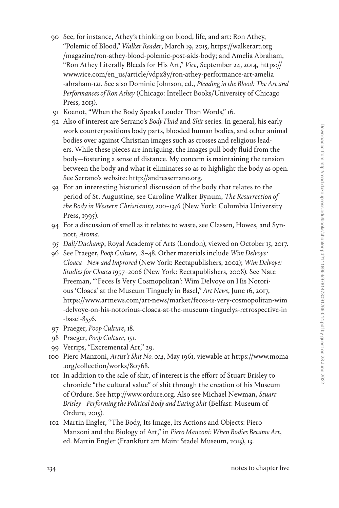- 90 See, for instance, Athey's thinking on blood, life, and art: Ron Athey, "Polemic of Blood," *Walker Reader*, March 19, 2015, [https://walkerart.org](https://walkerart.org/magazine/ron-athey-blood-polemic-post-aids-body) [/magazine/ron-athey-blood-polemic-post-aids-body;](https://walkerart.org/magazine/ron-athey-blood-polemic-post-aids-body) and Amelia Abraham, "Ron Athey Literally Bleeds for His Art," *Vice*, September 24, 2014, [https://](https://www.vice.com/en_us/article/vdpx8y/ron-athey-performance-art-amelia-abraham-121) [www.vice.com/en\\_us/article/vdpx8y/ron-athey-performance-art-amelia](https://www.vice.com/en_us/article/vdpx8y/ron-athey-performance-art-amelia-abraham-121) [-abraham-121.](https://www.vice.com/en_us/article/vdpx8y/ron-athey-performance-art-amelia-abraham-121) See also Dominic Johnson, ed., *Pleading in the Blood: The Art and Performances of Ron Athey* (Chicago: Intellect Books/University of Chicago Press, 2013).
- 91 Koenot, "When the Body Speaks Louder Than Words," 16.
- 92 Also of interest are Serrano's *Body Fluid* and *Shit* series. In general, his early work counterpositions body parts, blooded human bodies, and other animal bodies over against Christian images such as crosses and religious leaders. While these pieces are intriguing, the images pull body fluid from the body—fostering a sense of distance. My concern is maintaining the tension between the body and what it eliminates so as to highlight the body as open. See Serrano's website: [http://andresserrano.org.](http://andresserrano.org)
- 93 For an interesting historical discussion of the body that relates to the period of St. Augustine, see Caroline Walker Bynum, *The Resurrection of the Body in Western Christianity, 200–1336* (New York: Columbia University Press, 1995).
- 94 For a discussion of smell as it relates to waste, see Classen, Howes, and Synnott, *Aroma*.
- 95 *Dali/Duchamp*, Royal Academy of Arts (London), viewed on October 15, 2017.
- 96 See Praeger, *Poop Culture*, 18–48. Other materials include *Wim Delvoye: Cloaca—New and Improved* (New York: Rectapublishers, 2002); *Wim Delvoye: Studies for Cloaca 1997–2006* (New York: Rectapublishers, 2008). See Nate Freeman, "'Feces Is Very Cosmopolitan': Wim Delvoye on His Notorious 'Cloaca' at the Museum Tinguely in Basel," *Art News*, June 16, 2017, [https://www.artnews.com/art-news/market/feces-is-very-cosmopolitan-wim](https://www.artnews.com/art-news/market/feces-is-very-cosmopolitan-wim-delvoye-on-his-notorious-cloaca-at-the-museum-tinguelys-retrospective-in-basel-8556) [-delvoye-on-his-notorious-cloaca-at-the-museum-tinguelys-retrospective-in](https://www.artnews.com/art-news/market/feces-is-very-cosmopolitan-wim-delvoye-on-his-notorious-cloaca-at-the-museum-tinguelys-retrospective-in-basel-8556) [-basel-8556.](https://www.artnews.com/art-news/market/feces-is-very-cosmopolitan-wim-delvoye-on-his-notorious-cloaca-at-the-museum-tinguelys-retrospective-in-basel-8556)
- 97 Praeger, *Poop Culture*, 18.
- 98 Praeger, *Poop Culture*, 151.
- 99 Verrips, "Excremental Art," 29.
- 100 Piero Manzoni, *Artist's Shit No. 014*, May 1961, viewable at [https://www.moma](https://www.moma.org/collection/works/80768) [.org/collection/works/80768](https://www.moma.org/collection/works/80768).
- 101 In addition to the sale of shit, of interest is the effort of Stuart Brisley to chronicle "the cultural value" of shit through the creation of his Museum of Ordure. See <http://www.ordure.org>. Also see Michael Newman, *Stuart Brisley—Performing the Political Body and Eating Shit* (Belfast: Museum of Ordure, 2015).
- 102 Martin Engler, "The Body, Its Image, Its Actions and Objects: Piero Manzoni and the Biology of Art," in *Piero Manzoni: When Bodies Became Art*, ed. Martin Engler (Frankfurt am Main: Stadel Museum, 2013), 13.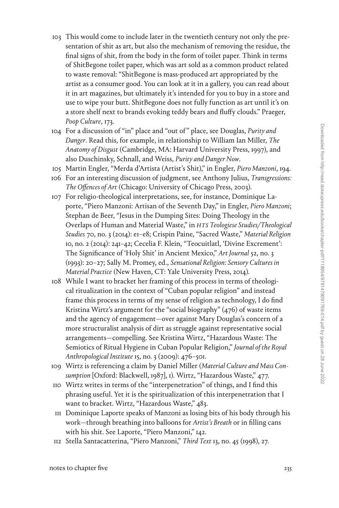- 103 This would come to include later in the twentieth century not only the presentation of shit as art, but also the mechanism of removing the residue, the final signs of shit, from the body in the form of toilet paper. Think in terms of ShitBegone toilet paper, which was art sold as a common product related to waste removal: "ShitBegone is mass-produced art appropriated by the artist as a consumer good. You can look at it in a gallery, you can read about it in art magazines, but ultimately it's intended for you to buy in a store and use to wipe your butt. ShitBegone does not fully function as art until it's on a store shelf next to brands evoking teddy bears and fluffy clouds." Praeger, *Poop Culture*, 173.
- 104 For a discussion of "in" place and "out of " place, see Douglas, *Purity and Danger*. Read this, for example, in relationship to William Ian Miller, *The Anatomy of Disgust* (Cambridge, MA: Harvard University Press, 1997), and also Duschinsky, Schnall, and Weiss, *Purity and Danger Now*.
- 105 Martin Engler, "Merda d'Artista (Artist's Shit)," in Engler, *Piero Manzoni*, 194.
- 106 For an interesting discussion of judgment, see Anthony Julius, *Transgressions: The Offences of Art* (Chicago: University of Chicago Press, 2003).
- 107 For religio-theological interpretations, see, for instance, Dominique Laporte, "Piero Manzoni: Artisan of the Seventh Day," in Engler, *Piero Manzoni*; Stephan de Beer, "Jesus in the Dumping Sites: Doing Theology in the Overlaps of Human and Material Waste," in *HTS Teologiese Studies/Theological Studies* 70, no. 3 (2014): e1–e8; Crispin Paine, "Sacred Waste," *Material Religion* 10, no. 2 (2014): 241–42; Cecelia F. Klein, "Teocuitlatl, 'Divine Excrement': The Significance of 'Holy Shit' in Ancient Mexico," *Art Journal* 52, no. 3 (1993): 20–27; Sally M. Promey, ed., *Sensational Religion: Sensory Cultures in Material Practice* (New Haven, CT: Yale University Press, 2014).
- 108 While I want to bracket her framing of this process in terms of theological ritualization in the context of "Cuban popular religion" and instead frame this process in terms of my sense of religion as technology, I do find Kristina Wirtz's argument for the "social biography" (476) of waste items and the agency of engagement—over against Mary Douglas's concern of a more structuralist analysis of dirt as struggle against representative social arrangements—compelling. See Kristina Wirtz, "Hazardous Waste: The Semiotics of Ritual Hygiene in Cuban Popular Religion," *Journal of the Royal Anthropological Institute* 15, no. 3 (2009): 476–501.
- 109 Wirtz is referencing a claim by Daniel Miller (*Material Culture and Mass Consumption* [Oxford: Blackwell, 1987], 1). Wirtz, "Hazardous Waste," 477.
- 110 Wirtz writes in terms of the "interpenetration" of things, and I find this phrasing useful. Yet it is the spiritualization of this interpenetration that I want to bracket. Wirtz, "Hazardous Waste," 483.
- 111 Dominique Laporte speaks of Manzoni as losing bits of his body through his work—through breathing into balloons for *Artist's Breath* or in filling cans with his shit. See Laporte, "Piero Manzoni," 142.
- 112 Stella Santacatterina, "Piero Manzoni," *Third Text* 13, no. 45 (1998), 27.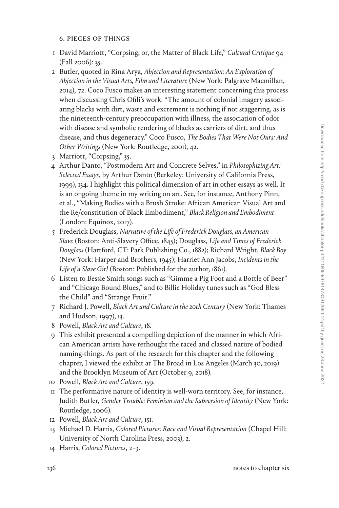### 6. pieces of things

- 1 David Marriott, "Corpsing; or, the Matter of Black Life," *Cultural Critique* 94 (Fall 2006): 35.
- 2 Butler, quoted in Rina Arya, *Abjection and Representation: An Exploration of Abjection in the Visual Arts, Film and Literature* (New York: Palgrave Macmillan, 2014), 72. Coco Fusco makes an interesting statement concerning this process when discussing Chris Ofili's work: "The amount of colonial imagery associating blacks with dirt, waste and excrement is nothing if not staggering, as is the nineteenth-century preoccupation with illness, the association of odor with disease and symbolic rendering of blacks as carriers of dirt, and thus disease, and thus degeneracy." Coco Fusco, *The Bodies That Were Not Ours: And Other Writings* (New York: Routledge, 2001), 42.
- 3 Marriott, "Corpsing," 35.
- 4 Arthur Danto, "Postmodern Art and Concrete Selves," in *Philosophizing Art: Selected Essays*, by Arthur Danto (Berkeley: University of California Press, 1999), 134. I highlight this political dimension of art in other essays as well. It is an ongoing theme in my writing on art. See, for instance, Anthony Pinn, et al., "Making Bodies with a Brush Stroke: African American Visual Art and the Re/constitution of Black Embodiment," *Black Religion and Embodiment* (London: Equinox, 2017).
- 5 Frederick Douglass, *Narrative of the Life of Frederick Douglass, an American Slave* (Boston: Anti-Slavery Office, 1845); Douglass, *Life and Times of Frederick Douglass* (Hartford, CT: Park Publishing Co., 1882); Richard Wright, *Black Boy* (New York: Harper and Brothers, 1945); Harriet Ann Jacobs, *Incidents in the Life of a Slave Girl* (Boston: Published for the author, 1861).
- 6 Listen to Bessie Smith songs such as "Gimme a Pig Foot and a Bottle of Beer" and "Chicago Bound Blues," and to Billie Holiday tunes such as "God Bless the Child" and "Strange Fruit."
- 7 Richard J. Powell, *Black Art and Culture in the 20th Century* (New York: Thames and Hudson, 1997), 13.
- 8 Powell, *Black Art and Culture*, 18.
- 9 This exhibit presented a compelling depiction of the manner in which African American artists have rethought the raced and classed nature of bodied naming-things. As part of the research for this chapter and the following chapter, I viewed the exhibit at The Broad in Los Angeles (March 30, 2019) and the Brooklyn Museum of Art (October 9, 2018).
- 10 Powell, *Black Art and Culture*, 159.
- 11 The performative nature of identity is well-worn territory. See, for instance, Judith Butler, *Gender Trouble: Feminism and the Subversion of Identity* (New York: Routledge, 2006).
- 12 Powell, *Black Art and Culture*, 151.
- 13 Michael D. Harris, *Colored Pictures: Race and Visual Representation* (Chapel Hill: University of North Carolina Press, 2003), 2.
- 14 Harris, *Colored Pictures*, 2–3.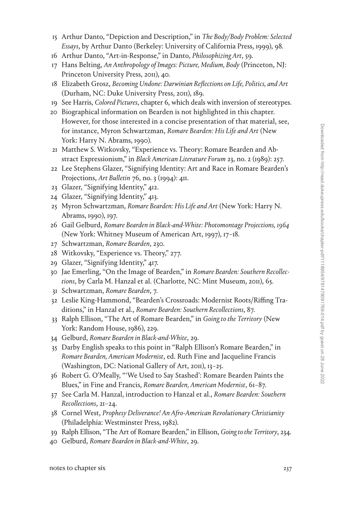- 15 Arthur Danto, "Depiction and Description," in *The Body/Body Problem: Selected Essays*, by Arthur Danto (Berkeley: University of California Press, 1999), 98.
- 16 Arthur Danto, "Art-in-Response," in Danto, *Philosophizing Art*, 59.
- 17 Hans Belting, *An Anthropology of Images: Picture, Medium, Body* (Princeton, NJ: Princeton University Press, 2011), 40.
- 18 Elizabeth Grosz, *Becoming Undone: Darwinian Reflections on Life, Politics, and Art* (Durham, NC: Duke University Press, 2011), 189.
- 19 See Harris, *Colored Pictures*, chapter 6, which deals with inversion of stereotypes.
- 20 Biographical information on Bearden is not highlighted in this chapter. However, for those interested in a concise presentation of that material, see, for instance, Myron Schwartzman, *Romare Bearden: His Life and Art* (New York: Harry N. Abrams, 1990).
- 21 Matthew S. Witkovsky, "Experience vs. Theory: Romare Bearden and Abstract Expressionism," in *Black American Literature Forum* 23, no. 2 (1989): 257.
- 22 Lee Stephens Glazer, "Signifying Identity: Art and Race in Romare Bearden's Projections, *Art Bulletin* 76, no. 3 (1994): 411.
- 23 Glazer, "Signifying Identity," 412.
- 24 Glazer, "Signifying Identity," 413.
- 25 Myron Schwartzman, *Romare Bearden: His Life and Art* (New York: Harry N. Abrams, 1990), 197.
- 26 Gail Gelburd, *Romare Bearden in Black-and-White: Photomontage Projections, 1964* (New York: Whitney Museum of American Art, 1997), 17–18.
- 27 Schwartzman, *Romare Bearden*, 230.
- 28 Witkovsky, "Experience vs. Theory," 277.
- 29 Glazer, "Signifying Identity," 417.
- 30 Jae Emerling, "On the Image of Bearden," in *Romare Bearden: Southern Recollections*, by Carla M. Hanzal et al. (Charlotte, NC: Mint Museum, 2011), 65.
- 31 Schwartzman, *Romare Bearden*, 7.
- 32 Leslie King-Hammond, "Bearden's Crossroads: Modernist Roots/Riffing Traditions," in Hanzal et al., *Romare Bearden: Southern Recollections*, 87.
- 33 Ralph Ellison, "The Art of Romare Bearden," in *Going to the Territory* (New York: Random House, 1986), 229.
- 34 Gelburd, *Romare Bearden in Black-and-White*, 29.
- 35 Darby English speaks to this point in "Ralph Ellison's Romare Bearden," in *Romare Bearden, American Modernist*, ed. Ruth Fine and Jacqueline Francis (Washington, DC: National Gallery of Art, 2011), 13–25.
- 36 Robert G. O'Meally, "'We Used to Say Stashed': Romare Bearden Paints the Blues," in Fine and Francis, *Romare Bearden, American Modernist*, 61–87.
- 37 See Carla M. Hanzal, introduction to Hanzal et al., *Romare Bearden: Southern Recollections*, 21–24.
- 38 Cornel West, *Prophesy Deliverance! An Afro-American Revolutionary Christianity* (Philadelphia: Westminster Press, 1982).
- 39 Ralph Ellison, "The Art of Romare Bearden," in Ellison, *Going to the Territory*, 234.
- 40 Gelburd, *Romare Bearden in Black-and-White*, 29.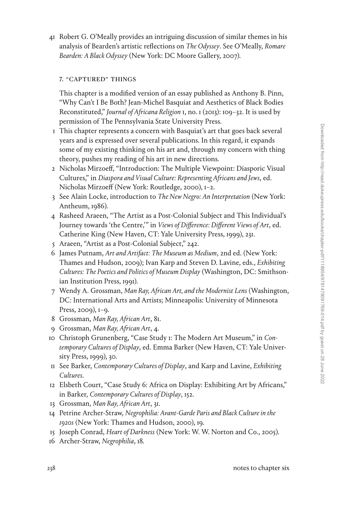41 Robert G. O'Meally provides an intriguing discussion of similar themes in his analysis of Bearden's artistic reflections on *The Odyssey*. See O'Meally, *Romare Bearden: A Black Odyssey* (New York: DC Moore Gallery, 2007).

### 7. "captured" things

This chapter is a modified version of an essay published as Anthony B. Pinn, "Why Can't I Be Both? Jean-Michel Basquiat and Aesthetics of Black Bodies Reconstituted," *Journal of Africana Religion* 1, no. 1 (2013): 109–32. It is used by permission of The Pennsylvania State University Press.

- 1 This chapter represents a concern with Basquiat's art that goes back several years and is expressed over several publications. In this regard, it expands some of my existing thinking on his art and, through my concern with thing theory, pushes my reading of his art in new directions.
- 2 Nicholas Mirzoeff, "Introduction: The Multiple Viewpoint: Diasporic Visual Cultures," in *Diaspora and Visual Culture: Representing Africans and Jews*, ed. Nicholas Mirzoeff (New York: Routledge, 2000), 1–2.
- 3 See Alain Locke, introduction to *The New Negro: An Interpretation* (New York: Antheum, 1986).
- 4 Rasheed Araeen, "The Artist as a Post-Colonial Subject and This Individual's Journey towards 'the Centre,'" in *Views of Difference: Different Views of Art*, ed. Catherine King (New Haven, CT: Yale University Press, 1999), 231.
- 5 Araeen, "Artist as a Post-Colonial Subject," 242.
- 6 James Putnam, *Art and Artifact: The Museum as Medium*, 2nd ed. (New York: Thames and Hudson, 2009); Ivan Karp and Steven D. Lavine, eds., *Exhibiting Cultures: The Poetics and Politics of Museum Display* (Washington, DC: Smithsonian Institution Press, 1991).
- 7 Wendy A. Grossman, *Man Ray, African Art, and the Modernist Lens* (Washington, DC: International Arts and Artists; Minneapolis: University of Minnesota Press, 2009), 1-9.
- 8 Grossman, *Man Ray, African Art*, 81.
- 9 Grossman, *Man Ray, African Art*, 4.
- 10 Christoph Grunenberg, "Case Study 1: The Modern Art Museum," in *Contemporary Cultures of Display*, ed. Emma Barker (New Haven, CT: Yale University Press, 1999), 30.
- 11 See Barker, *Contemporary Cultures of Display*, and Karp and Lavine, *Exhibiting Cultures*.
- 12 Elsbeth Court, "Case Study 6: Africa on Display: Exhibiting Art by Africans," in Barker, *Contemporary Cultures of Display*, 152.
- 13 Grossman, *Man Ray, African Art*, 31.
- 14 Petrine Archer-Straw, *Negrophilia: Avant-Garde Paris and Black Culture in the 1920s* (New York: Thames and Hudson, 2000), 19.
- 15 Joseph Conrad, *Heart of Darkness* (New York: W. W. Norton and Co., 2005).
- 16 Archer-Straw, *Negrophilia*, 18.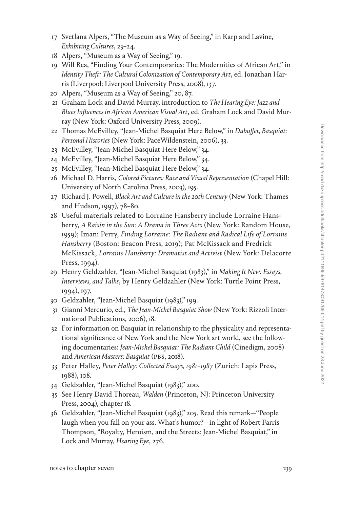- 17 Svetlana Alpers, "The Museum as a Way of Seeing," in Karp and Lavine, *Exhibiting Cultures*, 23–24.
- 18 Alpers, "Museum as a Way of Seeing," 19.
- 19 Will Rea, "Finding Your Contemporaries: The Modernities of African Art," in *Identity Theft: The Cultural Colonization of Contemporary Art*, ed. Jonathan Harris (Liverpool: Liverpool University Press, 2008), 137.
- 20 Alpers, "Museum as a Way of Seeing," 20, 87.
- 21 Graham Lock and David Murray, introduction to *The Hearing Eye: Jazz and Blues Influences in African American Visual Art*, ed. Graham Lock and David Murray (New York: Oxford University Press, 2009).
- 22 Thomas McEvilley, "Jean-Michel Basquiat Here Below," in *Dubuffet, Basquiat: Personal Histories* (New York: PaceWildenstein, 2006), 33.
- 23 McEvilley, "Jean-Michel Basquiat Here Below," 34.
- 24 McEvilley, "Jean-Michel Basquiat Here Below," 34.
- 25 McEvilley, "Jean-Michel Basquiat Here Below," 34.
- 26 Michael D. Harris, *Colored Pictures: Race and Visual Representation* (Chapel Hill: University of North Carolina Press, 2003), 195.
- 27 Richard J. Powell, *Black Art and Culture in the 20th Century* (New York: Thames and Hudson, 1997), 78–80.
- 28 Useful materials related to Lorraine Hansberry include Lorraine Hansberry, *A Raisin in the Sun: A Drama in Three Acts* (New York: Random House, 1959); Imani Perry, *Finding Lorraine: The Radiant and Radical Life of Lorraine Hansberry* (Boston: Beacon Press, 2019); Pat McKissack and Fredrick McKissack, *Lorraine Hansberry: Dramatist and Activist* (New York: Delacorte Press, 1994).
- 29 Henry Geldzahler, "Jean-Michel Basquiat (1983)," in *Making It New: Essays, Interviews, and Talks*, by Henry Geldzahler (New York: Turtle Point Press, 1994), 197.
- 30 Geldzahler, "Jean-Michel Basquiat (1983)," 199.
- 31 Gianni Mercurio, ed., *The Jean-Michel Basquiat Show* (New York: Rizzoli International Publications, 2006), 18.
- 32 For information on Basquiat in relationship to the physicality and representational significance of New York and the New York art world, see the following documentaries: *Jean-Michel Basquiat: The Radiant Child* (Cinedigm, 2008) and *American Masters: Basquiat* (PBS, 2018).
- 33 Peter Halley, *Peter Halley: Collected Essays, 1981–1987* (Zurich: Lapis Press, 1988), 108.
- 34 Geldzahler, "Jean-Michel Basquiat (1983)," 200.
- 35 See Henry David Thoreau, *Walden* (Princeton, NJ: Princeton University Press, 2004), chapter 18.
- 36 Geldzahler, "Jean-Michel Basquiat (1983)," 205. Read this remark—"People laugh when you fall on your ass. What's humor?—in light of Robert Farris Thompson, "Royalty, Heroism, and the Streets: Jean-Michel Basquiat," in Lock and Murray, *Hearing Eye*, 276.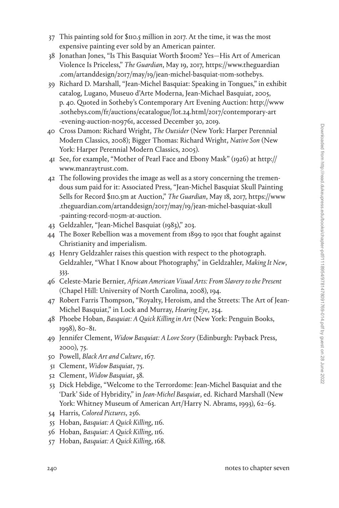- 37 This painting sold for \$110.5 million in 2017. At the time, it was the most expensive painting ever sold by an American painter.
- 38 Jonathan Jones, "Is This Basquiat Worth \$100m? Yes—His Art of American Violence Is Priceless," *The Guardian*, May 19, 2017, [https://www.theguardian](https://www.theguardian.com/artanddesign/2017/may/19/jean-michel-basquiat-110m-sothebys) [.com/artanddesign/2017/may/19/jean-michel-basquiat-110m-sothebys.](https://www.theguardian.com/artanddesign/2017/may/19/jean-michel-basquiat-110m-sothebys)
- 39 Richard D. Marshall, "Jean-Michel Basquiat: Speaking in Tongues," in exhibit catalog, Lugano, Museuo d'Arte Moderna, Jean-Michael Basquiat, 2005, p. 40. Quoted in Sotheby's Contemporary Art Evening Auction: [http://www](http://www.sothebys.com/fr/auctions/ecatalogue/lot.24.html/2017/contemporary-art-evening-auction-n09761) [.sothebys.com/fr/auctions/ecatalogue/lot.24.html/2017/contemporary-art](http://www.sothebys.com/fr/auctions/ecatalogue/lot.24.html/2017/contemporary-art-evening-auction-n09761) [-evening-auction-n09761,](http://www.sothebys.com/fr/auctions/ecatalogue/lot.24.html/2017/contemporary-art-evening-auction-n09761) accessed December 30, 2019.
- 40 Cross Damon: Richard Wright, *The Outsider* (New York: Harper Perennial Modern Classics, 2008); Bigger Thomas: Richard Wright, *Native Son* (New York: Harper Perennial Modern Classics, 2005).
- 41 See, for example, "Mother of Pearl Face and Ebony Mask" (1926) at [http://](http://www.manraytrust.com) [www.manraytrust.com](http://www.manraytrust.com).
- 42 The following provides the image as well as a story concerning the tremendous sum paid for it: Associated Press, "Jean-Michel Basquiat Skull Painting Sells for Record \$110.5m at Auction," *The Guardian*, May 18, 2017, [https://www](https://www.theguardian.com/artanddesign/2017/may/19/jean-michel-basquiat-skull-painting-record-1105m-at-auction) [.theguardian.com/artanddesign/2017/may/19/jean-michel-basquiat-skull](https://www.theguardian.com/artanddesign/2017/may/19/jean-michel-basquiat-skull-painting-record-1105m-at-auction) [-painting-record-1105m-at-auction.](https://www.theguardian.com/artanddesign/2017/may/19/jean-michel-basquiat-skull-painting-record-1105m-at-auction)
- 43 Geldzahler, "Jean-Michel Basquiat (1983)," 203.
- 44 The Boxer Rebellion was a movement from 1899 to 1901 that fought against Christianity and imperialism.
- 45 Henry Geldzahler raises this question with respect to the photograph. Geldzahler, "What I Know about Photography," in Geldzahler, *Making It New*, 333.
- 46 Celeste-Marie Bernier, *African American Visual Arts: From Slavery to the Present* (Chapel Hill: University of North Carolina, 2008), 194.
- 47 Robert Farris Thompson, "Royalty, Heroism, and the Streets: The Art of Jean-Michel Basquiat," in Lock and Murray, *Hearing Eye*, 254.
- 48 Phoebe Hoban, *Basquiat: A Quick Killing in Art* (New York: Penguin Books, 1998), 80–81.
- 49 Jennifer Clement, *Widow Basquiat: A Love Story* (Edinburgh: Payback Press, 2000), 75.
- 50 Powell, *Black Art and Culture*, 167.
- 51 Clement, *Widow Basquiat*, 75.
- 52 Clement, *Widow Basquiat*, 38.
- 53 Dick Hebdige, "Welcome to the Terrordome: Jean-Michel Basquiat and the 'Dark' Side of Hybridity," in *Jean-Michel Basquiat*, ed. Richard Marshall (New York: Whitney Museum of American Art/Harry N. Abrams, 1993), 62–63.
- 54 Harris, *Colored Pictures*, 256.
- 55 Hoban, *Basquiat: A Quick Killing*, 116.
- 56 Hoban, *Basquiat: A Quick Killing*, 116.
- 57 Hoban, *Basquiat: A Quick Killing*, 168.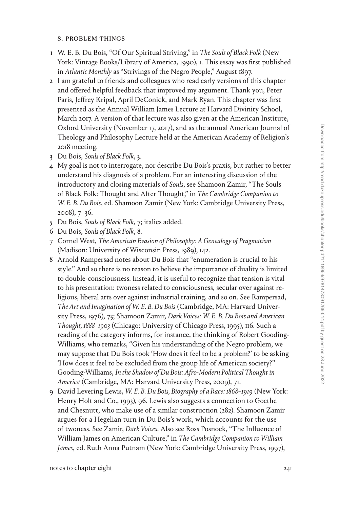### 8. problem things

- 1 W. E. B. Du Bois, "Of Our Spiritual Striving," in *The Souls of Black Folk* (New York: Vintage Books/Library of America, 1990), 1. This essay was first published in *Atlantic Monthly* as "Strivings of the Negro People," August 1897.
- 2 I am grateful to friends and colleagues who read early versions of this chapter and offered helpful feedback that improved my argument. Thank you, Peter Paris, Jeffrey Kripal, April DeConick, and Mark Ryan. This chapter was first presented as the Annual William James Lecture at Harvard Divinity School, March 2017. A version of that lecture was also given at the American Institute, Oxford University (November 17, 2017), and as the annual American Journal of Theology and Philosophy Lecture held at the American Academy of Religion's 2018 meeting.
- 3 Du Bois, *Souls of Black Folk*, 3.
- 4 My goal is not to interrogate, nor describe Du Bois's praxis, but rather to better understand his diagnosis of a problem. For an interesting discussion of the introductory and closing materials of *Souls*, see Shamoon Zamir, "The Souls of Black Folk: Thought and After Thought," in *The Cambridge Companion to W. E. B. Du Bois*, ed. Shamoon Zamir (New York: Cambridge University Press, 2008), 7–36.
- 5 Du Bois, *Souls of Black Folk*, 7; italics added.
- 6 Du Bois, *Souls of Black Folk*, 8.
- 7 Cornel West, *The American Evasion of Philosophy: A Genealogy of Pragmatism* (Madison: University of Wisconsin Press, 1989), 142.
- 8 Arnold Rampersad notes about Du Bois that "enumeration is crucial to his style." And so there is no reason to believe the importance of duality is limited to double-consciousness. Instead, it is useful to recognize that tension is vital to his presentation: twoness related to consciousness, secular over against religious, liberal arts over against industrial training, and so on. See Rampersad, *The Art and Imagination of W. E. B. Du Bois* (Cambridge, MA: Harvard University Press, 1976), 73; Shamoon Zamir, *Dark Voices: W. E. B. Du Bois and American Thought, 1888–1903* (Chicago: University of Chicago Press, 1995), 116. Such a reading of the category informs, for instance, the thinking of Robert Gooding-Williams, who remarks, "Given his understanding of the Negro problem, we may suppose that Du Bois took 'How does it feel to be a problem?' to be asking 'How does it feel to be excluded from the group life of American society?" Gooding-Williams, *In the Shadow of Du Bois: Afro-Modern Political Thought in America* (Cambridge, MA: Harvard University Press, 2009), 71.
- 9 David Levering Lewis, *W. E. B. Du Bois, Biography of a Race: 1868–1919* (New York: Henry Holt and Co., 1993), 96. Lewis also suggests a connection to Goethe and Chesnutt, who make use of a similar construction (282). Shamoon Zamir argues for a Hegelian turn in Du Bois's work, which accounts for the use of twoness. See Zamir, *Dark Voices*. Also see Ross Posnock, "The Influence of William James on American Culture," in *The Cambridge Companion to William James*, ed. Ruth Anna Putnam (New York: Cambridge University Press, 1997),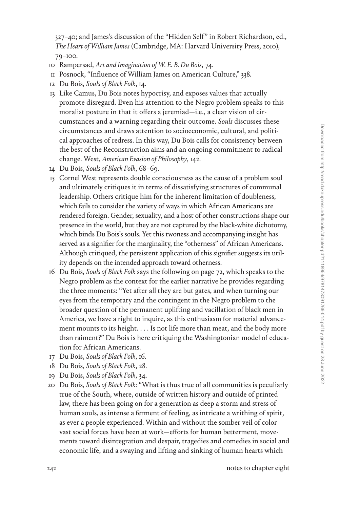327–40; and James's discussion of the "Hidden Self " in Robert Richardson, ed., *The Heart of William James* (Cambridge, MA: Harvard University Press, 2010), 79–100.

- 10 Rampersad, *Art and Imagination of W. E. B. Du Bois*, 74.
- 11 Posnock, "Influence of William James on American Culture," 338.
- 12 Du Bois, *Souls of Black Folk*, 14.
- 13 Like Camus, Du Bois notes hypocrisy, and exposes values that actually promote disregard. Even his attention to the Negro problem speaks to this moralist posture in that it offers a jeremiad—i.e., a clear vision of circumstances and a warning regarding their outcome. *Souls* discusses these circumstances and draws attention to socioeconomic, cultural, and political approaches of redress. In this way, Du Bois calls for consistency between the best of the Reconstruction aims and an ongoing commitment to radical change. West, *American Evasion of Philosophy*, 142.
- 14 Du Bois, *Souls of Black Folk*, 68–69.
- 15 Cornel West represents double consciousness as the cause of a problem soul and ultimately critiques it in terms of dissatisfying structures of communal leadership. Others critique him for the inherent limitation of doubleness, which fails to consider the variety of ways in which African Americans are rendered foreign. Gender, sexuality, and a host of other constructions shape our presence in the world, but they are not captured by the black-white dichotomy, which binds Du Bois's souls. Yet this twoness and accompanying insight has served as a signifier for the marginality, the "otherness" of African Americans. Although critiqued, the persistent application of this signifier suggests its utility depends on the intended approach toward otherness.
- 16 Du Bois, *Souls of Black Folk* says the following on page 72, which speaks to the Negro problem as the context for the earlier narrative he provides regarding the three moments: "Yet after all they are but gates, and when turning our eyes from the temporary and the contingent in the Negro problem to the broader question of the permanent uplifting and vacillation of black men in America, we have a right to inquire, as this enthusiasm for material advancement mounts to its height. . . . Is not life more than meat, and the body more than raiment?" Du Bois is here critiquing the Washingtonian model of education for African Americans.
- 17 Du Bois, *Souls of Black Folk*, 16.
- 18 Du Bois, *Souls of Black Folk*, 28.
- 19 Du Bois, *Souls of Black Folk*, 34.
- 20 Du Bois, *Souls of Black Folk*: "What is thus true of all communities is peculiarly true of the South, where, outside of written history and outside of printed law, there has been going on for a generation as deep a storm and stress of human souls, as intense a ferment of feeling, as intricate a writhing of spirit, as ever a people experienced. Within and without the somber veil of color vast social forces have been at work—efforts for human betterment, movements toward disintegration and despair, tragedies and comedies in social and economic life, and a swaying and lifting and sinking of human hearts which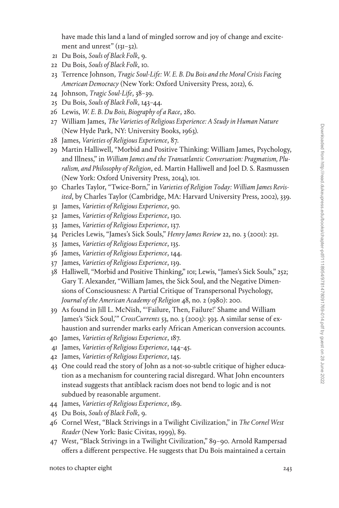have made this land a land of mingled sorrow and joy of change and excitement and unrest" (131-32).

- 21 Du Bois, *Souls of Black Folk*, 9.
- 22 Du Bois, *Souls of Black Folk*, 10.
- 23 Terrence Johnson, *Tragic Soul-Life: W. E. B. Du Bois and the Moral Crisis Facing American Democracy* (New York: Oxford University Press, 2012), 6.
- 24 Johnson, *Tragic Soul-Life*, 38–39.
- 25 Du Bois, *Souls of Black Folk*, 143–44.
- 26 Lewis, *W. E. B. Du Bois, Biography of a Race*, 280.
- 27 William James, *The Varieties of Religious Experience: A Study in Human Nature* (New Hyde Park, NY: University Books, 1963).
- 28 James, *Varieties of Religious Experience*, 87.
- 29 Martin Halliwell, "Morbid and Positive Thinking: William James, Psychology, and Illness," in *William James and the Transatlantic Conversation: Pragmatism, Pluralism, and Philosophy of Religion*, ed. Martin Halliwell and Joel D. S. Rasmussen (New York: Oxford University Press, 2014), 101.
- 30 Charles Taylor, "Twice-Born," in *Varieties of Religion Today: William James Revisited*, by Charles Taylor (Cambridge, MA: Harvard University Press, 2002), 339.
- 31 James, *Varieties of Religious Experience*, 90.
- 32 James, *Varieties of Religious Experience*, 130.
- 33 James, *Varieties of Religious Experience*, 137.
- 34 Pericles Lewis, "James's Sick Souls," *Henry James Review* 22, no. 3 (2001): 251.
- 35 James, *Varieties of Religious Experience*, 135.
- 36 James, *Varieties of Religious Experience*, 144.
- 37 James, *Varieties of Religious Experience*, 139.
- 38 Halliwell, "Morbid and Positive Thinking," 101; Lewis, "James's Sick Souls," 252; Gary T. Alexander, "William James, the Sick Soul, and the Negative Dimensions of Consciousness: A Partial Critique of Transpersonal Psychology, *Journal of the American Academy of Religion* 48, no. 2 (1980): 200.
- 39 As found in Jill L. McNish, "'Failure, Then, Failure!' Shame and William James's 'Sick Soul,'" *CrossCurrents* 53, no. 3 (2003): 393. A similar sense of exhaustion and surrender marks early African American conversion accounts.
- 40 James, *Varieties of Religious Experience*, 187.
- 41 James, *Varieties of Religious Experience*, 144–45.
- 42 James, *Varieties of Religious Experience*, 145.
- 43 One could read the story of John as a not-so-subtle critique of higher education as a mechanism for countering racial disregard. What John encounters instead suggests that antiblack racism does not bend to logic and is not subdued by reasonable argument.
- 44 James, *Varieties of Religious Experience*, 189.
- 45 Du Bois, *Souls of Black Folk*, 9.
- 46 Cornel West, "Black Strivings in a Twilight Civilization," in *The Cornel West Reader* (New York: Basic Civitas, 1999), 89.
- 47 West, "Black Strivings in a Twilight Civilization," 89–90. Arnold Rampersad offers a different perspective. He suggests that Du Bois maintained a certain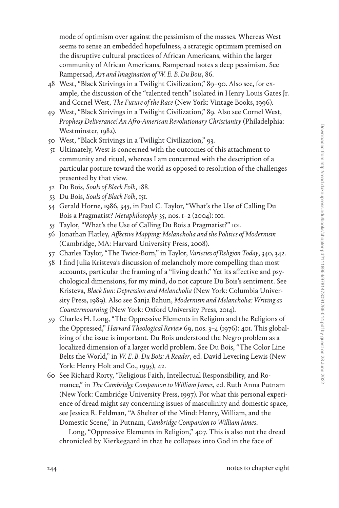mode of optimism over against the pessimism of the masses. Whereas West seems to sense an embedded hopefulness, a strategic optimism premised on the disruptive cultural practices of African Americans, within the larger community of African Americans, Rampersad notes a deep pessimism. See Rampersad, *Art and Imagination of W. E. B. Du Bois*, 86.

- 48 West, "Black Strivings in a Twilight Civilization," 89–90. Also see, for example, the discussion of the "talented tenth" isolated in Henry Louis Gates Jr. and Cornel West, *The Future of the Race* (New York: Vintage Books, 1996).
- 49 West, "Black Strivings in a Twilight Civilization," 89. Also see Cornel West, *Prophesy Deliverance! An Afro-American Revolutionary Christianity* (Philadelphia: Westminster, 1982).
- 50 West, "Black Strivings in a Twilight Civilization," 93.
- 51 Ultimately, West is concerned with the outcomes of this attachment to community and ritual, whereas I am concerned with the description of a particular posture toward the world as opposed to resolution of the challenges presented by that view.
- 52 Du Bois, *Souls of Black Folk*, 188.
- 53 Du Bois, *Souls of Black Folk*, 151.
- 54 Gerald Horne, 1986, 345, in Paul C. Taylor, "What's the Use of Calling Du Bois a Pragmatist? *Metaphilosophy* 35, nos. 1–2 (2004): 101.
- 55 Taylor, "What's the Use of Calling Du Bois a Pragmatist?" 101.
- 56 Jonathan Flatley, *Affective Mapping: Melancholia and the Politics of Modernism* (Cambridge, MA: Harvard University Press, 2008).
- 57 Charles Taylor, "The Twice-Born," in Taylor, *Varieties of Religion Today*, 340, 342.
- 58 I find Julia Kristeva's discussion of melancholy more compelling than most accounts, particular the framing of a "living death." Yet its affective and psychological dimensions, for my mind, do not capture Du Bois's sentiment. See Kristeva, *Black Sun: Depression and Melancholia* (New York: Columbia University Press, 1989). Also see Sanja Bahun, *Modernism and Melancholia: Writing as Countermourning* (New York: Oxford University Press, 2014).
- 59 Charles H. Long, "The Oppressive Elements in Religion and the Religions of the Oppressed," *Harvard Theological Review* 69, nos. 3–4 (1976): 401. This globalizing of the issue is important. Du Bois understood the Negro problem as a localized dimension of a larger world problem. See Du Bois, "The Color Line Belts the World," in *W. E. B. Du Bois: A Reader*, ed. David Levering Lewis (New York: Henry Holt and Co., 1995), 42.
- 60 See Richard Rorty, "Religious Faith, Intellectual Responsibility, and Romance," in *The Cambridge Companion to William James*, ed. Ruth Anna Putnam (New York: Cambridge University Press, 1997). For what this personal experience of dread might say concerning issues of masculinity and domestic space, see Jessica R. Feldman, "A Shelter of the Mind: Henry, William, and the Domestic Scene," in Putnam, *Cambridge Companion to William James*.

Long, "Oppressive Elements in Religion," 407. This is also not the dread chronicled by Kierkegaard in that he collapses into God in the face of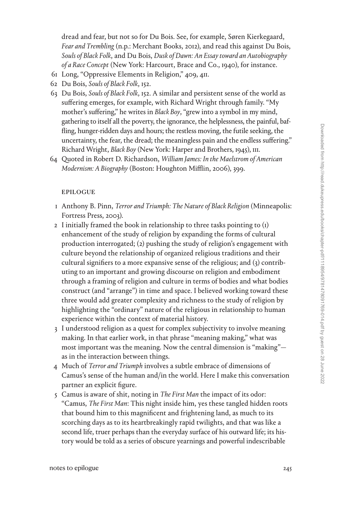dread and fear, but not so for Du Bois. See, for example, Søren Kierkegaard, *Fear and Trembling* (n.p.: Merchant Books, 2012), and read this against Du Bois, *Souls of Black Folk*, and Du Bois, *Dusk of Dawn: An Essay toward an Autobiography of a Race Concept* (New York: Harcourt, Brace and Co., 1940), for instance.

- 61 Long, "Oppressive Elements in Religion," 409, 411.
- 62 Du Bois, *Souls of Black Folk*, 152.
- 63 Du Bois, *Souls of Black Folk*, 152. A similar and persistent sense of the world as suffering emerges, for example, with Richard Wright through family. "My mother's suffering," he writes in *Black Boy*, "grew into a symbol in my mind, gathering to itself all the poverty, the ignorance, the helplessness, the painful, baffling, hunger-ridden days and hours; the restless moving, the futile seeking, the uncertainty, the fear, the dread; the meaningless pain and the endless suffering." Richard Wright, *Black Boy* (New York: Harper and Brothers, 1945), 111.
- 64 Quoted in Robert D. Richardson, *William James: In the Maelstrom of American Modernism: A Biography* (Boston: Houghton Mifflin, 2006), 399.

#### epilogue

- 1 Anthony B. Pinn, *Terror and Triumph: The Nature of Black Religion* (Minneapolis: Fortress Press, 2003).
- 2 I initially framed the book in relationship to three tasks pointing to (1) enhancement of the study of religion by expanding the forms of cultural production interrogated; (2) pushing the study of religion's engagement with culture beyond the relationship of organized religious traditions and their cultural signifiers to a more expansive sense of the religious; and (3) contributing to an important and growing discourse on religion and embodiment through a framing of religion and culture in terms of bodies and what bodies construct (and "arrange") in time and space. I believed working toward these three would add greater complexity and richness to the study of religion by highlighting the "ordinary" nature of the religious in relationship to human experience within the context of material history.
- 3 I understood religion as a quest for complex subjectivity to involve meaning making. In that earlier work, in that phrase "meaning making," what was most important was the meaning. Now the central dimension is "making" as in the interaction between things.
- 4 Much of *Terror and Triumph* involves a subtle embrace of dimensions of Camus's sense of the human and/in the world. Here I make this conversation partner an explicit figure.
- 5 Camus is aware of shit, noting in *The First Man* the impact of its odor: "Camus, *The First Man*: This night inside him, yes these tangled hidden roots that bound him to this magnificent and frightening land, as much to its scorching days as to its heartbreakingly rapid twilights, and that was like a second life, truer perhaps than the everyday surface of his outward life; its history would be told as a series of obscure yearnings and powerful indescribable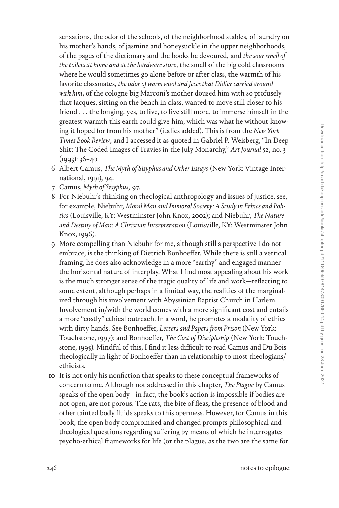sensations, the odor of the schools, of the neighborhood stables, of laundry on his mother's hands, of jasmine and honeysuckle in the upper neighborhoods, of the pages of the dictionary and the books he devoured, and *the sour smell of the toilets at home and at the hardware store*, the smell of the big cold classrooms where he would sometimes go alone before or after class, the warmth of his favorite classmates, *the odor of warm wool and feces that Didier carried around with him*, of the cologne big Marconi's mother doused him with so profusely that Jacques, sitting on the bench in class, wanted to move still closer to his friend . . . the longing, yes, to live, to live still more, to immerse himself in the greatest warmth this earth could give him, which was what he without knowing it hoped for from his mother" (italics added). This is from the *New York Times Book Review*, and I accessed it as quoted in Gabriel P. Weisberg, "In Deep Shit: The Coded Images of Travies in the July Monarchy," *Art Journal* 52, no. 3  $(1993): 36 - 40.$ 

- 6 Albert Camus, *The Myth of Sisyphus and Other Essays* (New York: Vintage International, 1991), 94.
- 7 Camus, *Myth of Sisyphus*, 97.
- 8 For Niebuhr's thinking on theological anthropology and issues of justice, see, for example, Niebuhr, *Moral Man and Immoral Society: A Study in Ethics and Politics* (Louisville, KY: Westminster John Knox, 2002); and Niebuhr, *The Nature and Destiny of Man: A Christian Interpretation* (Louisville, KY: Westminster John Knox, 1996).
- 9 More compelling than Niebuhr for me, although still a perspective I do not embrace, is the thinking of Dietrich Bonhoeffer. While there is still a vertical framing, he does also acknowledge in a more "earthy" and engaged manner the horizontal nature of interplay. What I find most appealing about his work is the much stronger sense of the tragic quality of life and work—reflecting to some extent, although perhaps in a limited way, the realities of the marginalized through his involvement with Abyssinian Baptist Church in Harlem. Involvement in/with the world comes with a more significant cost and entails a more "costly" ethical outreach. In a word, he promotes a modality of ethics with dirty hands. See Bonhoeffer, *Letters and Papers from Prison* (New York: Touchstone, 1997); and Bonhoeffer, *The Cost of Discipleship* (New York: Touchstone, 1995). Mindful of this, I find it less difficult to read Camus and Du Bois theologically in light of Bonhoeffer than in relationship to most theologians/ ethicists.
- 10 It is not only his nonfiction that speaks to these conceptual frameworks of concern to me. Although not addressed in this chapter, *The Plague* by Camus speaks of the open body—in fact, the book's action is impossible if bodies are not open, are not porous. The rats, the bite of fleas, the presence of blood and other tainted body fluids speaks to this openness. However, for Camus in this book, the open body compromised and changed prompts philosophical and theological questions regarding suffering by means of which he interrogates psycho-ethical frameworks for life (or the plague, as the two are the same for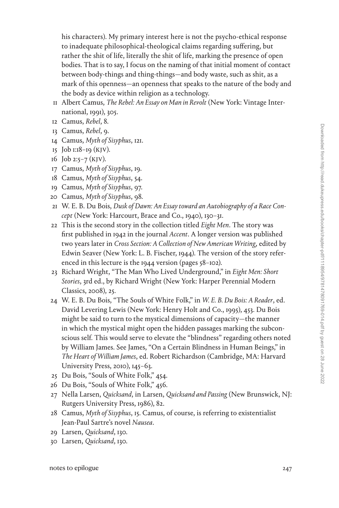his characters). My primary interest here is not the psycho-ethical response to inadequate philosophical-theological claims regarding suffering, but rather the shit of life, literally the shit of life, marking the presence of open bodies. That is to say, I focus on the naming of that initial moment of contact between body-things and thing-things—and body waste, such as shit, as a mark of this openness—an openness that speaks to the nature of the body and the body as device within religion as a technology.

- 11 Albert Camus, *The Rebel: An Essay on Man in Revolt* (New York: Vintage International, 1991), 305.
- 12 Camus, *Rebel*, 8.
- 13 Camus, *Rebel*, 9.
- 14 Camus, *Myth of Sisyphus*, 121.
- 15 Job 1:18–19 (KJV).
- 16 Job 2:5-7 (KJV).
- 17 Camus, *Myth of Sisyphus*, 19.
- 18 Camus, *Myth of Sisyphus*, 54.
- 19 Camus, *Myth of Sisyphus*, 97.
- 20 Camus, *Myth of Sisyphus*, 98.
- 21 W. E. B. Du Bois, *Dusk of Dawn: An Essay toward an Autobiography of a Race Concept* (New York: Harcourt, Brace and Co., 1940), 130–31.
- 22 This is the second story in the collection titled *Eight Men*. The story was first published in 1942 in the journal *Accent*. A longer version was published two years later in *Cross Section: A Collection of New American Writing*, edited by Edwin Seaver (New York: L. B. Fischer, 1944). The version of the story referenced in this lecture is the 1944 version (pages 58–102).
- 23 Richard Wright, "The Man Who Lived Underground," in *Eight Men: Short Stories*, 3rd ed., by Richard Wright (New York: Harper Perennial Modern Classics, 2008), 25.
- 24 W. E. B. Du Bois, "The Souls of White Folk," in *W. E. B. Du Bois: A Reader*, ed. David Levering Lewis (New York: Henry Holt and Co., 1995), 453. Du Bois might be said to turn to the mystical dimensions of capacity—the manner in which the mystical might open the hidden passages marking the subconscious self. This would serve to elevate the "blindness" regarding others noted by William James. See James, "On a Certain Blindness in Human Beings," in *The Heart of William James*, ed. Robert Richardson (Cambridge, MA: Harvard University Press, 2010), 145–63.
- 25 Du Bois, "Souls of White Folk," 454.
- 26 Du Bois, "Souls of White Folk," 456.
- 27 Nella Larsen, *Quicksand*, in Larsen, *Quicksand and Passing* (New Brunswick, NJ: Rutgers University Press, 1986), 82.
- 28 Camus, *Myth of Sisyphus*, 15. Camus, of course, is referring to existentialist Jean-Paul Sartre's novel *Nausea*.
- 29 Larsen, *Quicksand*, 130.
- 30 Larsen, *Quicksand*, 130.